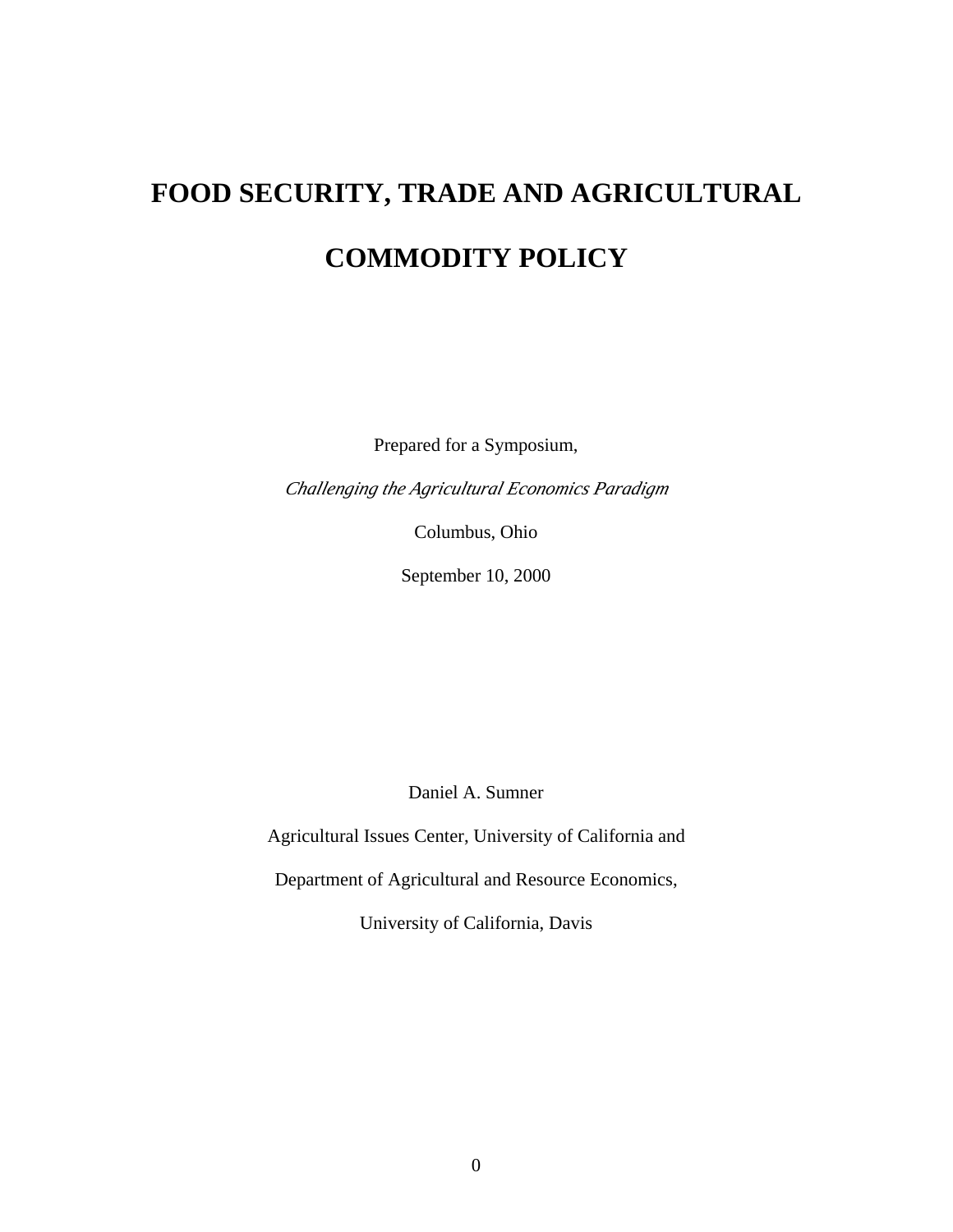# **FOOD SECURITY, TRADE AND AGRICULTURAL COMMODITY POLICY**

Prepared for a Symposium,

*Challenging the Agricultural Economics Paradigm*

Columbus, Ohio

September 10, 2000

Daniel A. Sumner

Agricultural Issues Center, University of California and

Department of Agricultural and Resource Economics,

University of California, Davis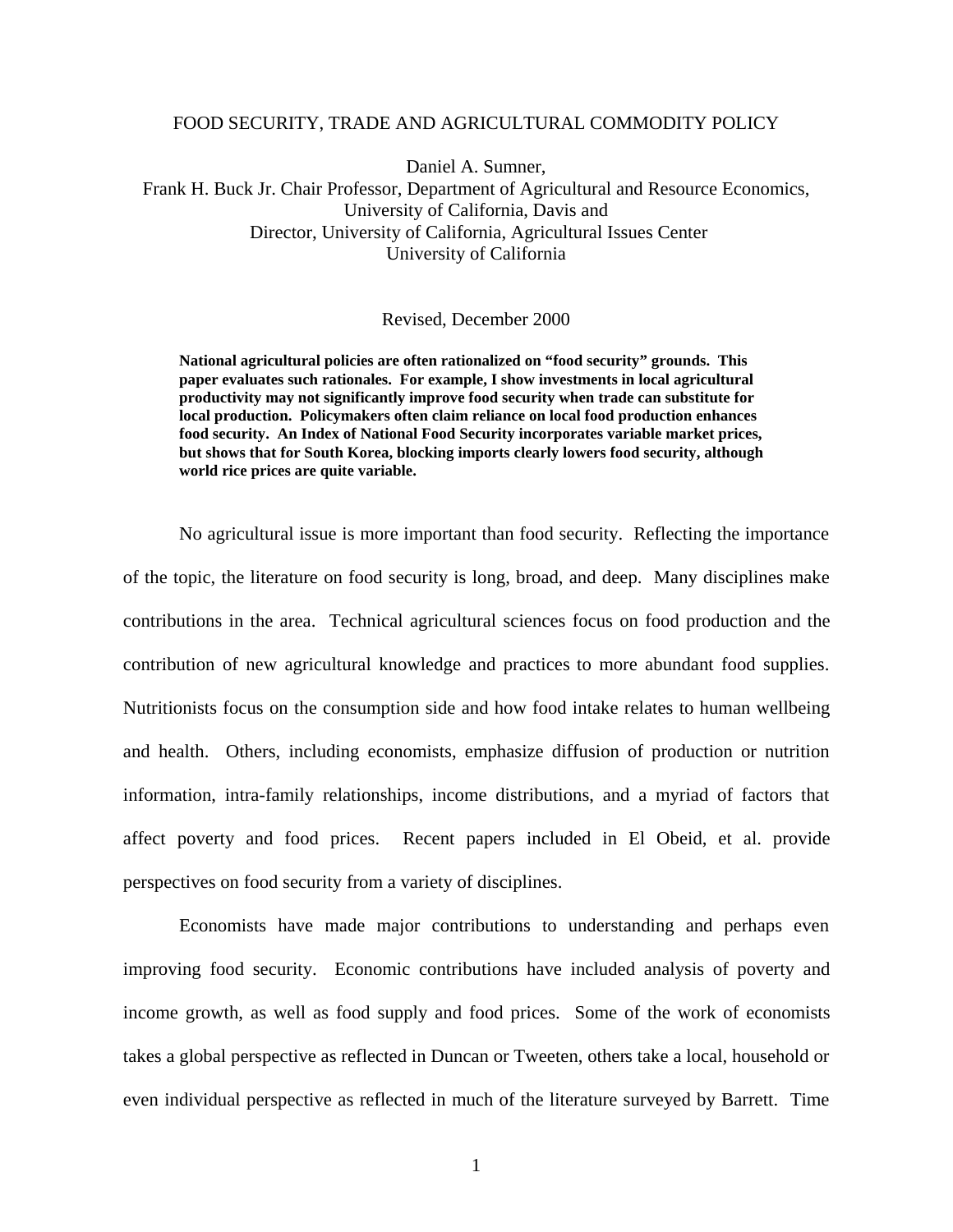#### FOOD SECURITY, TRADE AND AGRICULTURAL COMMODITY POLICY

Daniel A. Sumner, Frank H. Buck Jr. Chair Professor, Department of Agricultural and Resource Economics, University of California, Davis and Director, University of California, Agricultural Issues Center University of California

Revised, December 2000

**National agricultural policies are often rationalized on "food security" grounds. This paper evaluates such rationales. For example, I show investments in local agricultural productivity may not significantly improve food security when trade can substitute for local production. Policymakers often claim reliance on local food production enhances food security. An Index of National Food Security incorporates variable market prices, but shows that for South Korea, blocking imports clearly lowers food security, although world rice prices are quite variable.** 

No agricultural issue is more important than food security. Reflecting the importance of the topic, the literature on food security is long, broad, and deep. Many disciplines make contributions in the area. Technical agricultural sciences focus on food production and the contribution of new agricultural knowledge and practices to more abundant food supplies. Nutritionists focus on the consumption side and how food intake relates to human wellbeing and health. Others, including economists, emphasize diffusion of production or nutrition information, intra-family relationships, income distributions, and a myriad of factors that affect poverty and food prices. Recent papers included in El Obeid, et al. provide perspectives on food security from a variety of disciplines.

Economists have made major contributions to understanding and perhaps even improving food security. Economic contributions have included analysis of poverty and income growth, as well as food supply and food prices. Some of the work of economists takes a global perspective as reflected in Duncan or Tweeten, others take a local, household or even individual perspective as reflected in much of the literature surveyed by Barrett. Time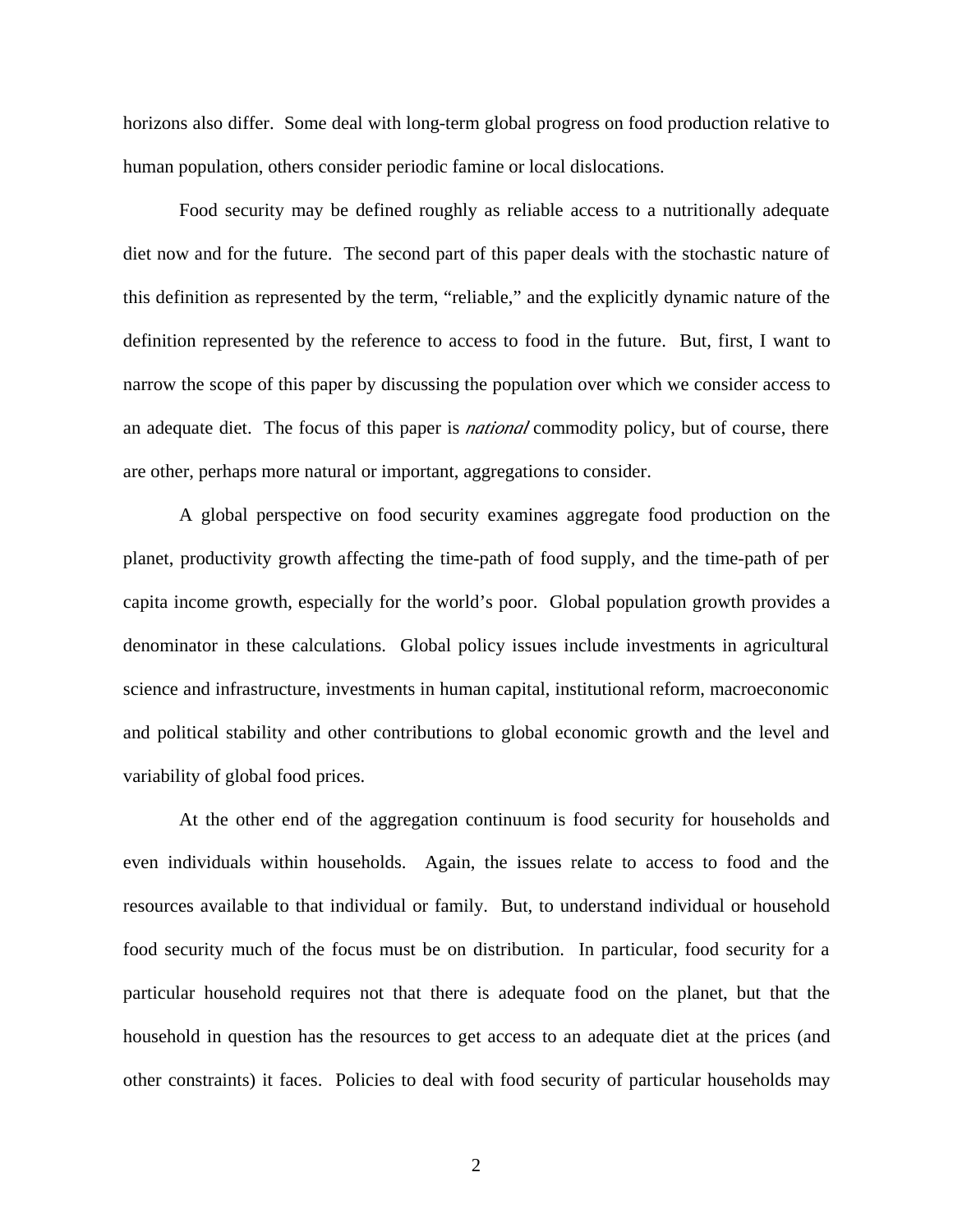horizons also differ. Some deal with long-term global progress on food production relative to human population, others consider periodic famine or local dislocations.

Food security may be defined roughly as reliable access to a nutritionally adequate diet now and for the future. The second part of this paper deals with the stochastic nature of this definition as represented by the term, "reliable," and the explicitly dynamic nature of the definition represented by the reference to access to food in the future. But, first, I want to narrow the scope of this paper by discussing the population over which we consider access to an adequate diet. The focus of this paper is *national* commodity policy, but of course, there are other, perhaps more natural or important, aggregations to consider.

A global perspective on food security examines aggregate food production on the planet, productivity growth affecting the time-path of food supply, and the time-path of per capita income growth, especially for the world's poor. Global population growth provides a denominator in these calculations. Global policy issues include investments in agricultural science and infrastructure, investments in human capital, institutional reform, macroeconomic and political stability and other contributions to global economic growth and the level and variability of global food prices.

At the other end of the aggregation continuum is food security for households and even individuals within households. Again, the issues relate to access to food and the resources available to that individual or family. But, to understand individual or household food security much of the focus must be on distribution. In particular, food security for a particular household requires not that there is adequate food on the planet, but that the household in question has the resources to get access to an adequate diet at the prices (and other constraints) it faces. Policies to deal with food security of particular households may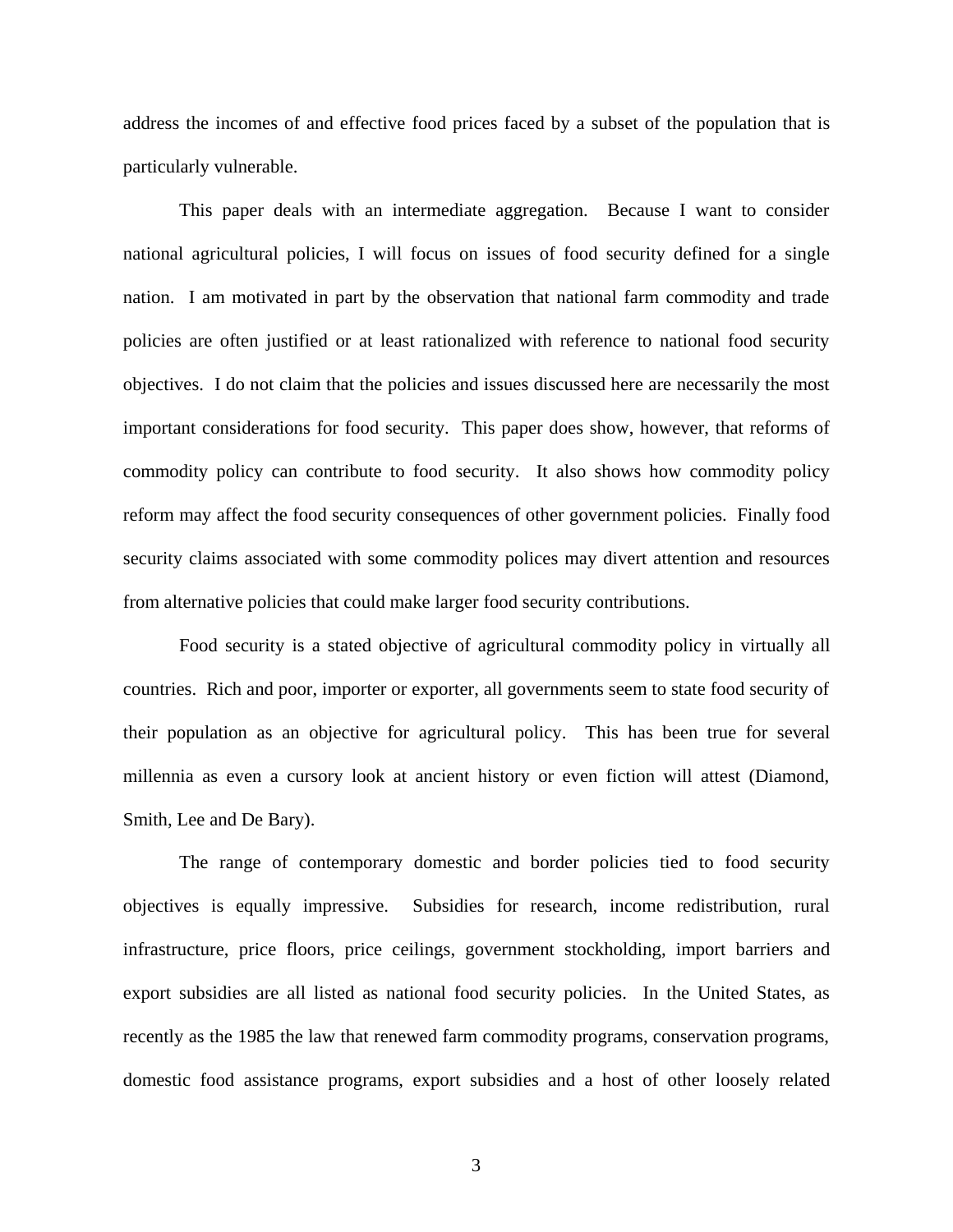address the incomes of and effective food prices faced by a subset of the population that is particularly vulnerable.

This paper deals with an intermediate aggregation. Because I want to consider national agricultural policies, I will focus on issues of food security defined for a single nation. I am motivated in part by the observation that national farm commodity and trade policies are often justified or at least rationalized with reference to national food security objectives. I do not claim that the policies and issues discussed here are necessarily the most important considerations for food security. This paper does show, however, that reforms of commodity policy can contribute to food security. It also shows how commodity policy reform may affect the food security consequences of other government policies. Finally food security claims associated with some commodity polices may divert attention and resources from alternative policies that could make larger food security contributions.

Food security is a stated objective of agricultural commodity policy in virtually all countries. Rich and poor, importer or exporter, all governments seem to state food security of their population as an objective for agricultural policy. This has been true for several millennia as even a cursory look at ancient history or even fiction will attest (Diamond, Smith, Lee and De Bary).

The range of contemporary domestic and border policies tied to food security objectives is equally impressive. Subsidies for research, income redistribution, rural infrastructure, price floors, price ceilings, government stockholding, import barriers and export subsidies are all listed as national food security policies. In the United States, as recently as the 1985 the law that renewed farm commodity programs, conservation programs, domestic food assistance programs, export subsidies and a host of other loosely related

3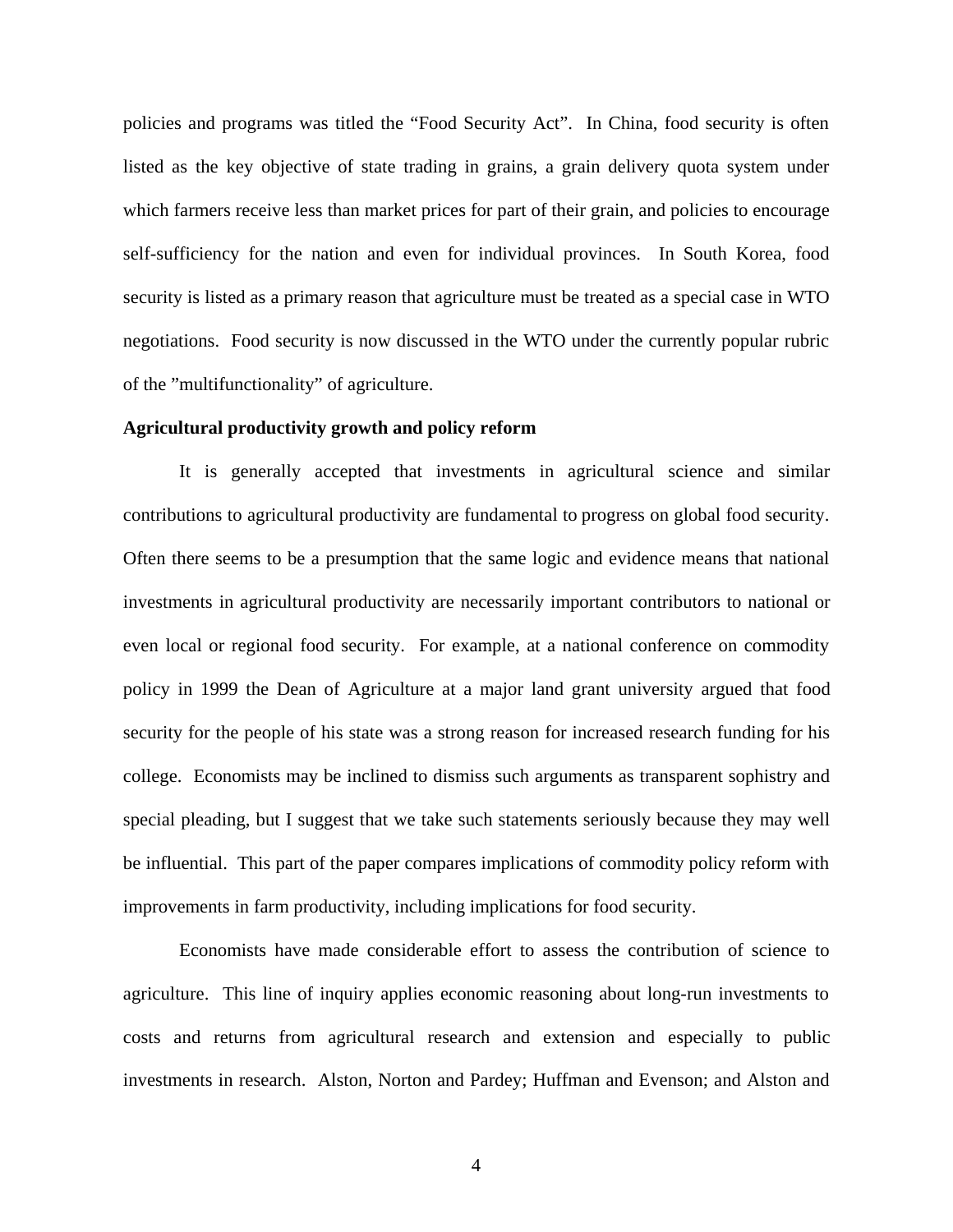policies and programs was titled the "Food Security Act". In China, food security is often listed as the key objective of state trading in grains, a grain delivery quota system under which farmers receive less than market prices for part of their grain, and policies to encourage self-sufficiency for the nation and even for individual provinces. In South Korea, food security is listed as a primary reason that agriculture must be treated as a special case in WTO negotiations. Food security is now discussed in the WTO under the currently popular rubric of the "multifunctionality" of agriculture.

#### **Agricultural productivity growth and policy reform**

It is generally accepted that investments in agricultural science and similar contributions to agricultural productivity are fundamental to progress on global food security. Often there seems to be a presumption that the same logic and evidence means that national investments in agricultural productivity are necessarily important contributors to national or even local or regional food security. For example, at a national conference on commodity policy in 1999 the Dean of Agriculture at a major land grant university argued that food security for the people of his state was a strong reason for increased research funding for his college. Economists may be inclined to dismiss such arguments as transparent sophistry and special pleading, but I suggest that we take such statements seriously because they may well be influential. This part of the paper compares implications of commodity policy reform with improvements in farm productivity, including implications for food security.

Economists have made considerable effort to assess the contribution of science to agriculture. This line of inquiry applies economic reasoning about long-run investments to costs and returns from agricultural research and extension and especially to public investments in research. Alston, Norton and Pardey; Huffman and Evenson; and Alston and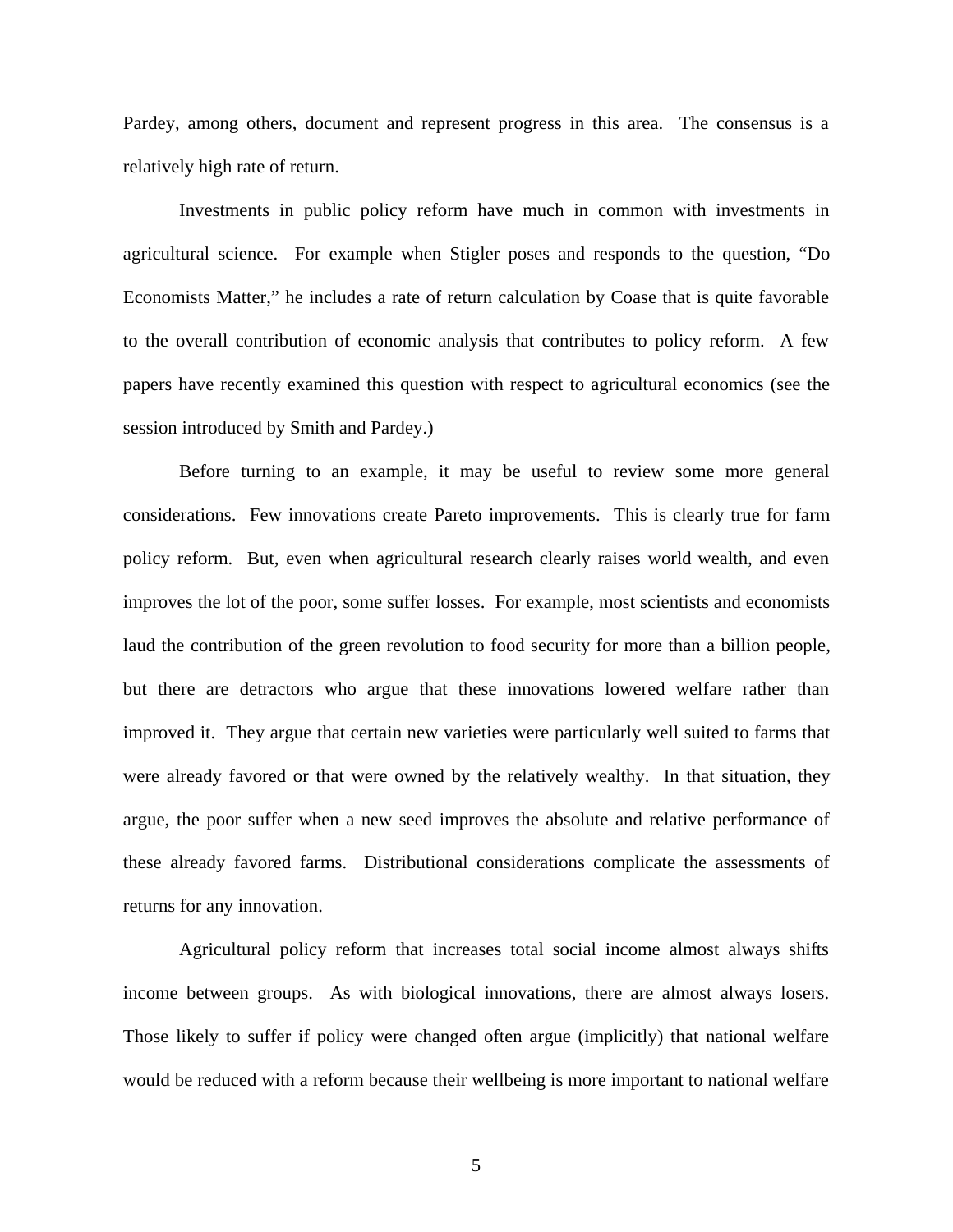Pardey, among others, document and represent progress in this area. The consensus is a relatively high rate of return.

Investments in public policy reform have much in common with investments in agricultural science. For example when Stigler poses and responds to the question, "Do Economists Matter," he includes a rate of return calculation by Coase that is quite favorable to the overall contribution of economic analysis that contributes to policy reform. A few papers have recently examined this question with respect to agricultural economics (see the session introduced by Smith and Pardey.)

Before turning to an example, it may be useful to review some more general considerations. Few innovations create Pareto improvements. This is clearly true for farm policy reform. But, even when agricultural research clearly raises world wealth, and even improves the lot of the poor, some suffer losses. For example, most scientists and economists laud the contribution of the green revolution to food security for more than a billion people, but there are detractors who argue that these innovations lowered welfare rather than improved it. They argue that certain new varieties were particularly well suited to farms that were already favored or that were owned by the relatively wealthy. In that situation, they argue, the poor suffer when a new seed improves the absolute and relative performance of these already favored farms. Distributional considerations complicate the assessments of returns for any innovation.

Agricultural policy reform that increases total social income almost always shifts income between groups. As with biological innovations, there are almost always losers. Those likely to suffer if policy were changed often argue (implicitly) that national welfare would be reduced with a reform because their wellbeing is more important to national welfare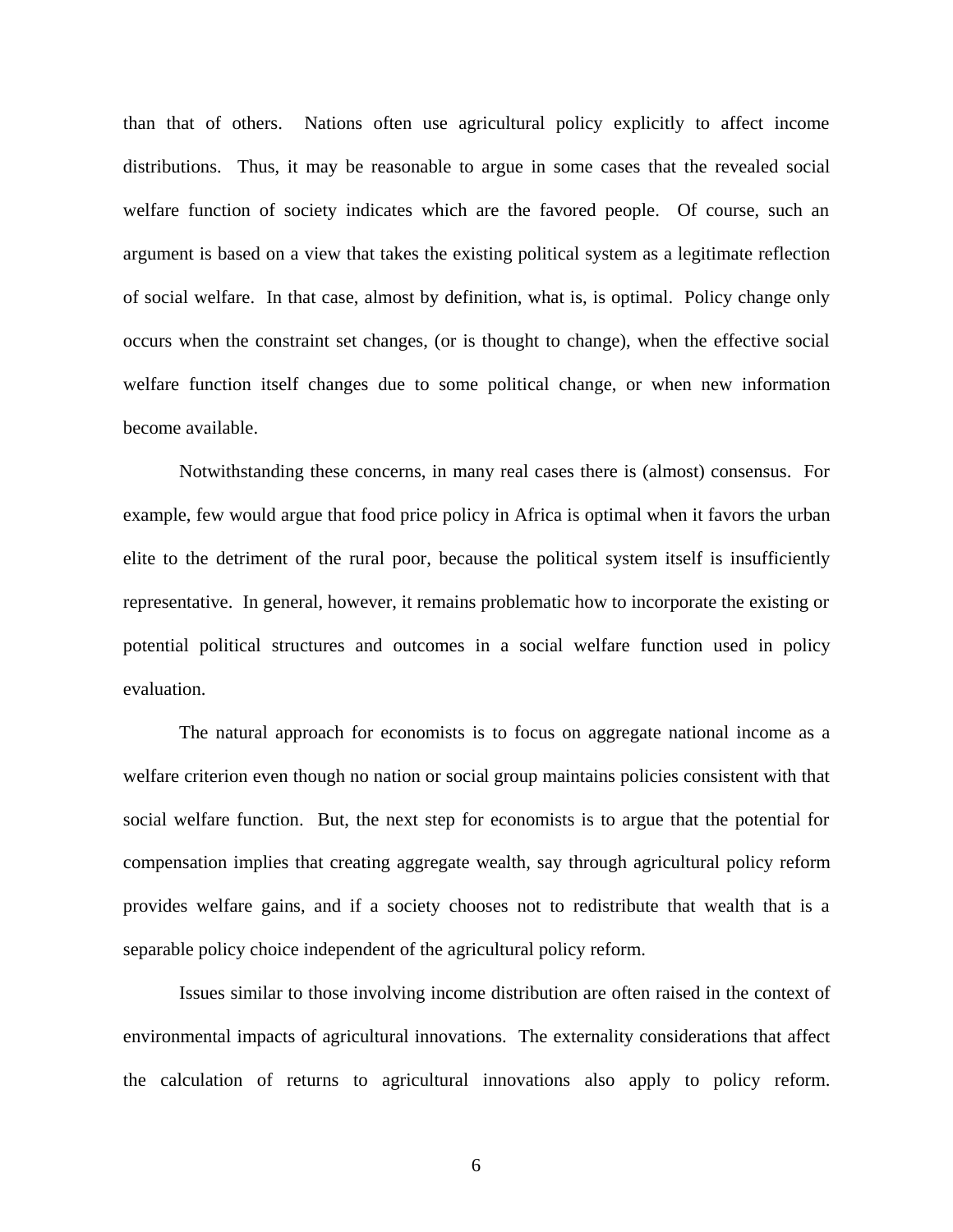than that of others. Nations often use agricultural policy explicitly to affect income distributions. Thus, it may be reasonable to argue in some cases that the revealed social welfare function of society indicates which are the favored people. Of course, such an argument is based on a view that takes the existing political system as a legitimate reflection of social welfare. In that case, almost by definition, what is, is optimal. Policy change only occurs when the constraint set changes, (or is thought to change), when the effective social welfare function itself changes due to some political change, or when new information become available.

Notwithstanding these concerns, in many real cases there is (almost) consensus. For example, few would argue that food price policy in Africa is optimal when it favors the urban elite to the detriment of the rural poor, because the political system itself is insufficiently representative. In general, however, it remains problematic how to incorporate the existing or potential political structures and outcomes in a social welfare function used in policy evaluation.

The natural approach for economists is to focus on aggregate national income as a welfare criterion even though no nation or social group maintains policies consistent with that social welfare function. But, the next step for economists is to argue that the potential for compensation implies that creating aggregate wealth, say through agricultural policy reform provides welfare gains, and if a society chooses not to redistribute that wealth that is a separable policy choice independent of the agricultural policy reform.

Issues similar to those involving income distribution are often raised in the context of environmental impacts of agricultural innovations. The externality considerations that affect the calculation of returns to agricultural innovations also apply to policy reform.

6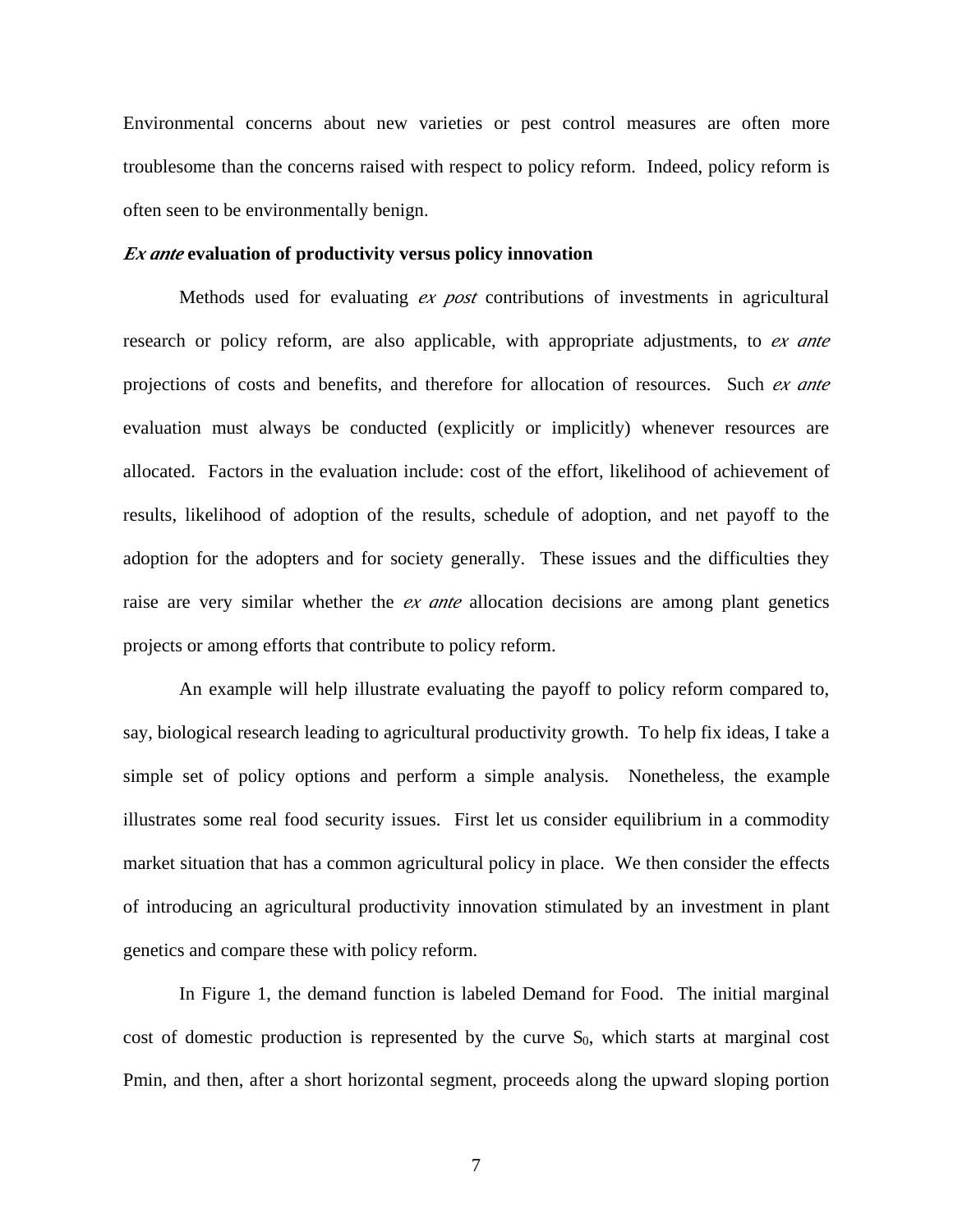Environmental concerns about new varieties or pest control measures are often more troublesome than the concerns raised with respect to policy reform. Indeed, policy reform is often seen to be environmentally benign.

#### *Ex ante* **evaluation of productivity versus policy innovation**

Methods used for evaluating *ex post* contributions of investments in agricultural research or policy reform, are also applicable, with appropriate adjustments, to *ex ante* projections of costs and benefits, and therefore for allocation of resources. Such *ex ante* evaluation must always be conducted (explicitly or implicitly) whenever resources are allocated. Factors in the evaluation include: cost of the effort, likelihood of achievement of results, likelihood of adoption of the results, schedule of adoption, and net payoff to the adoption for the adopters and for society generally. These issues and the difficulties they raise are very similar whether the *ex ante* allocation decisions are among plant genetics projects or among efforts that contribute to policy reform.

An example will help illustrate evaluating the payoff to policy reform compared to, say, biological research leading to agricultural productivity growth. To help fix ideas, I take a simple set of policy options and perform a simple analysis. Nonetheless, the example illustrates some real food security issues. First let us consider equilibrium in a commodity market situation that has a common agricultural policy in place. We then consider the effects of introducing an agricultural productivity innovation stimulated by an investment in plant genetics and compare these with policy reform.

In Figure 1, the demand function is labeled Demand for Food. The initial marginal cost of domestic production is represented by the curve  $S_0$ , which starts at marginal cost Pmin, and then, after a short horizontal segment, proceeds along the upward sloping portion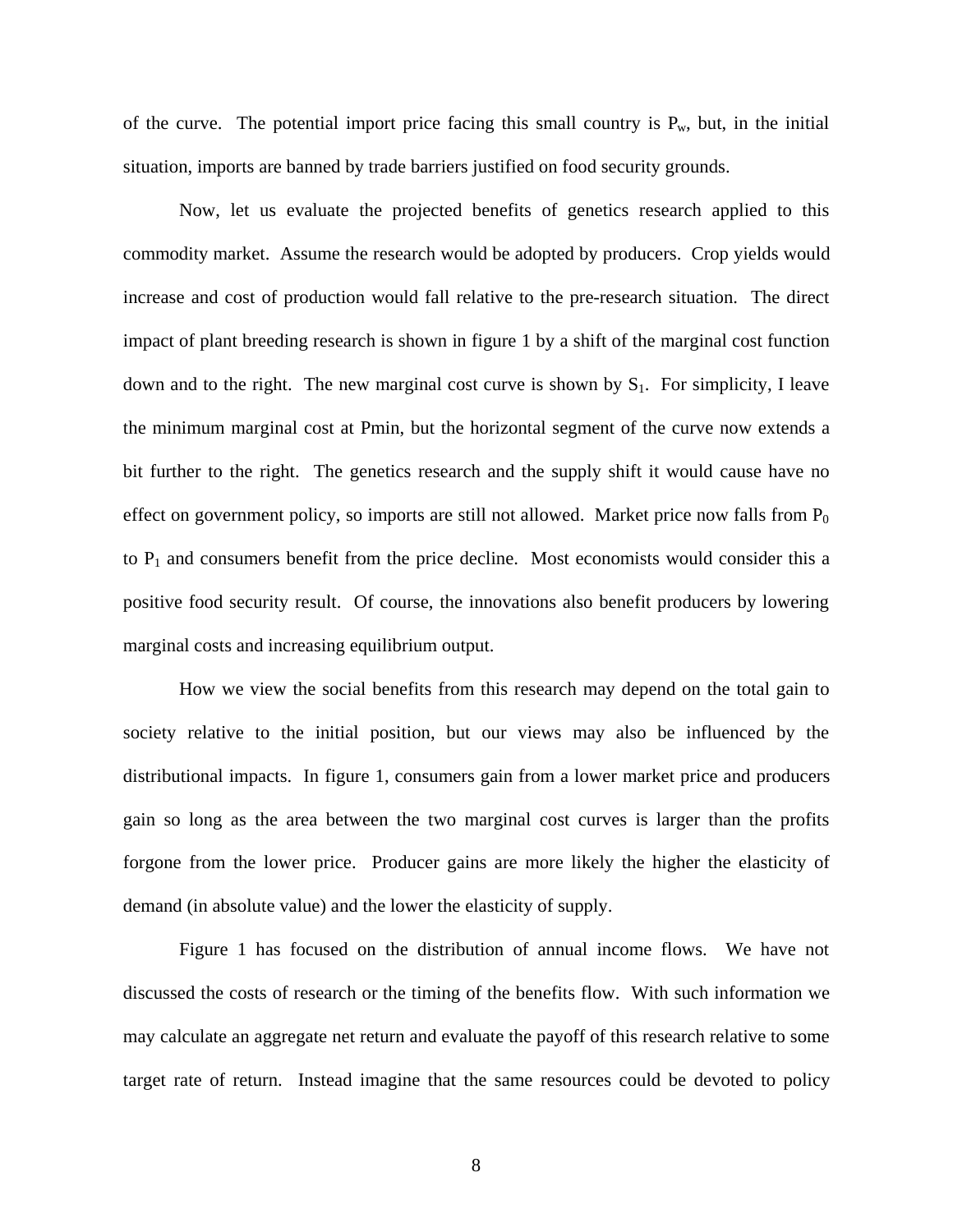of the curve. The potential import price facing this small country is  $P_w$ , but, in the initial situation, imports are banned by trade barriers justified on food security grounds.

Now, let us evaluate the projected benefits of genetics research applied to this commodity market. Assume the research would be adopted by producers. Crop yields would increase and cost of production would fall relative to the pre-research situation. The direct impact of plant breeding research is shown in figure 1 by a shift of the marginal cost function down and to the right. The new marginal cost curve is shown by  $S_1$ . For simplicity, I leave the minimum marginal cost at Pmin, but the horizontal segment of the curve now extends a bit further to the right. The genetics research and the supply shift it would cause have no effect on government policy, so imports are still not allowed. Market price now falls from  $P_0$ to  $P_1$  and consumers benefit from the price decline. Most economists would consider this a positive food security result. Of course, the innovations also benefit producers by lowering marginal costs and increasing equilibrium output.

How we view the social benefits from this research may depend on the total gain to society relative to the initial position, but our views may also be influenced by the distributional impacts. In figure 1, consumers gain from a lower market price and producers gain so long as the area between the two marginal cost curves is larger than the profits forgone from the lower price. Producer gains are more likely the higher the elasticity of demand (in absolute value) and the lower the elasticity of supply.

Figure 1 has focused on the distribution of annual income flows. We have not discussed the costs of research or the timing of the benefits flow. With such information we may calculate an aggregate net return and evaluate the payoff of this research relative to some target rate of return. Instead imagine that the same resources could be devoted to policy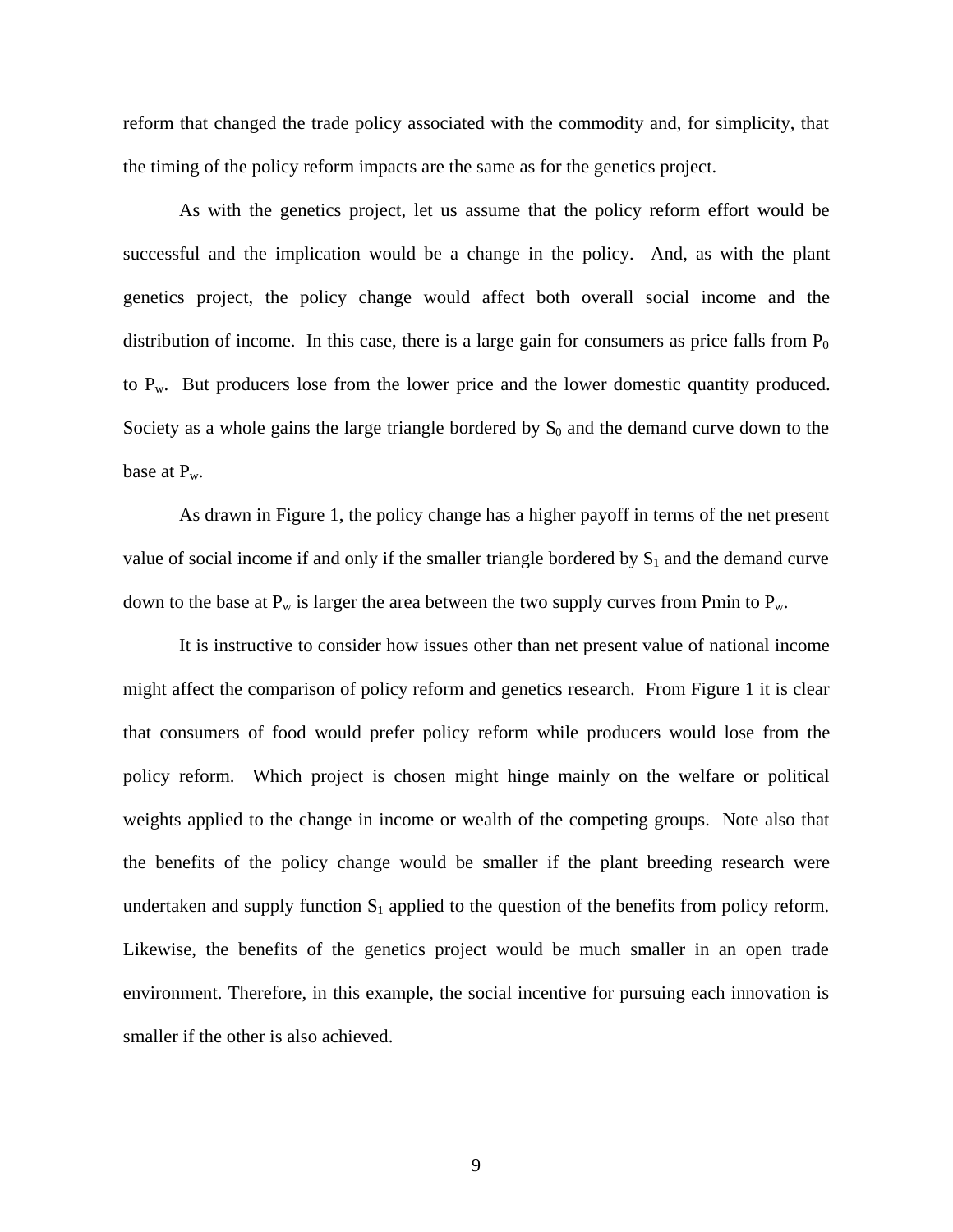reform that changed the trade policy associated with the commodity and, for simplicity, that the timing of the policy reform impacts are the same as for the genetics project.

As with the genetics project, let us assume that the policy reform effort would be successful and the implication would be a change in the policy. And, as with the plant genetics project, the policy change would affect both overall social income and the distribution of income. In this case, there is a large gain for consumers as price falls from  $P_0$ to  $P_w$ . But producers lose from the lower price and the lower domestic quantity produced. Society as a whole gains the large triangle bordered by  $S_0$  and the demand curve down to the base at  $P_w$ .

As drawn in Figure 1, the policy change has a higher payoff in terms of the net present value of social income if and only if the smaller triangle bordered by  $S_1$  and the demand curve down to the base at  $P_w$  is larger the area between the two supply curves from Pmin to  $P_w$ .

It is instructive to consider how issues other than net present value of national income might affect the comparison of policy reform and genetics research. From Figure 1 it is clear that consumers of food would prefer policy reform while producers would lose from the policy reform. Which project is chosen might hinge mainly on the welfare or political weights applied to the change in income or wealth of the competing groups. Note also that the benefits of the policy change would be smaller if the plant breeding research were undertaken and supply function  $S_1$  applied to the question of the benefits from policy reform. Likewise, the benefits of the genetics project would be much smaller in an open trade environment. Therefore, in this example, the social incentive for pursuing each innovation is smaller if the other is also achieved.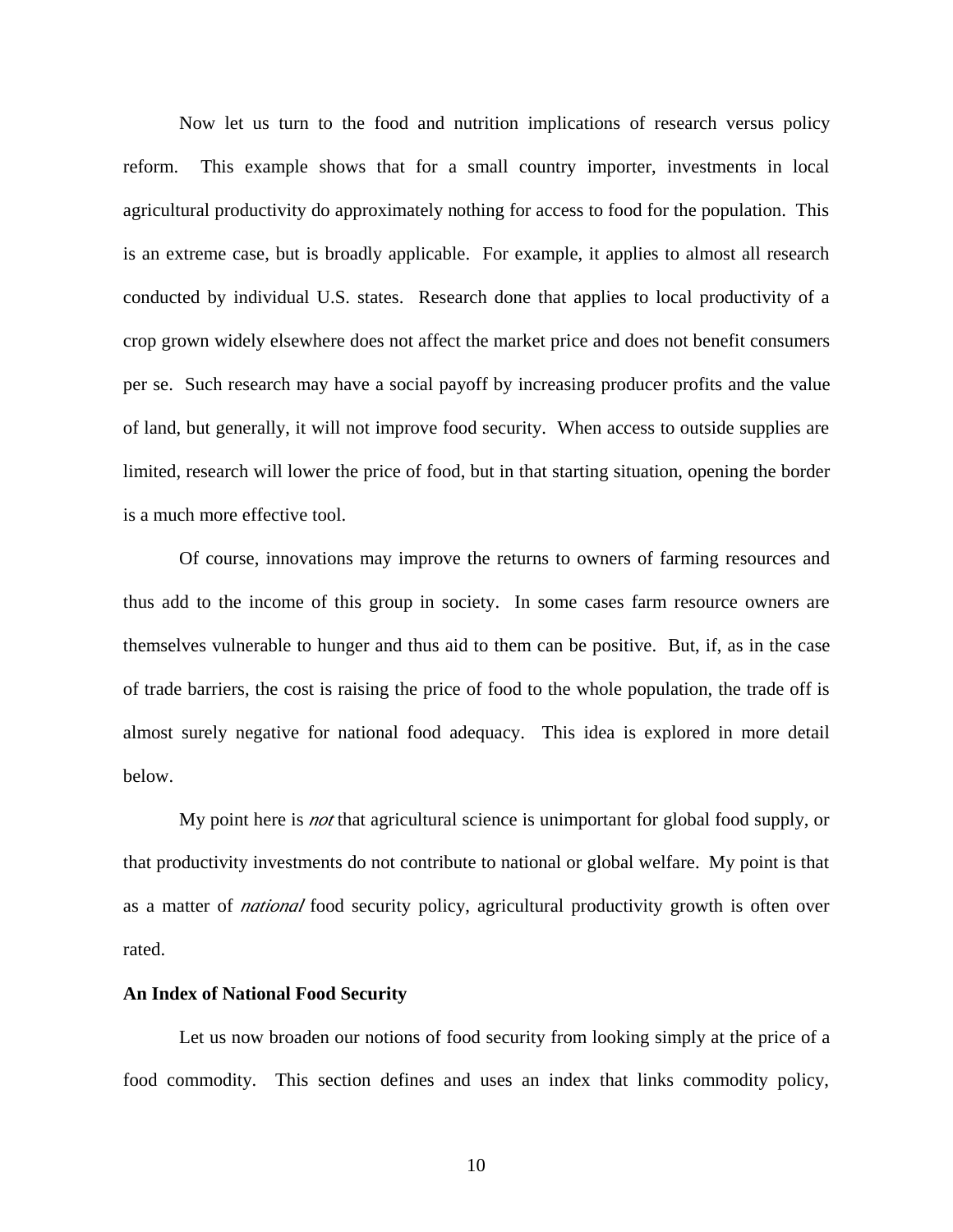Now let us turn to the food and nutrition implications of research versus policy reform. This example shows that for a small country importer, investments in local agricultural productivity do approximately nothing for access to food for the population. This is an extreme case, but is broadly applicable. For example, it applies to almost all research conducted by individual U.S. states. Research done that applies to local productivity of a crop grown widely elsewhere does not affect the market price and does not benefit consumers per se. Such research may have a social payoff by increasing producer profits and the value of land, but generally, it will not improve food security. When access to outside supplies are limited, research will lower the price of food, but in that starting situation, opening the border is a much more effective tool.

Of course, innovations may improve the returns to owners of farming resources and thus add to the income of this group in society. In some cases farm resource owners are themselves vulnerable to hunger and thus aid to them can be positive. But, if, as in the case of trade barriers, the cost is raising the price of food to the whole population, the trade off is almost surely negative for national food adequacy. This idea is explored in more detail below.

My point here is *not* that agricultural science is unimportant for global food supply, or that productivity investments do not contribute to national or global welfare. My point is that as a matter of *national* food security policy, agricultural productivity growth is often over rated.

## **An Index of National Food Security**

Let us now broaden our notions of food security from looking simply at the price of a food commodity. This section defines and uses an index that links commodity policy,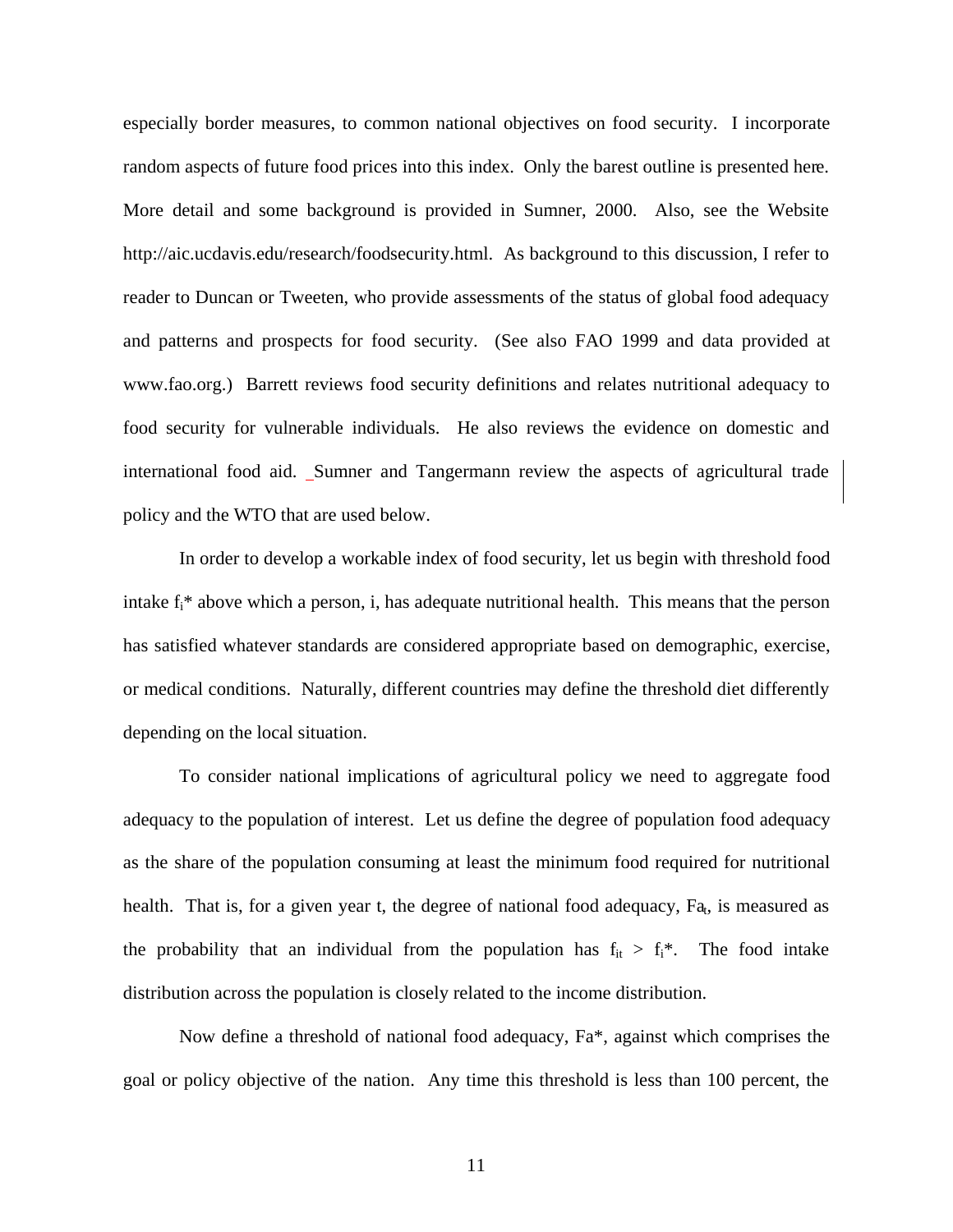especially border measures, to common national objectives on food security. I incorporate random aspects of future food prices into this index. Only the barest outline is presented here. More detail and some background is provided in Sumner, 2000. Also, see the Website http://aic.ucdavis.edu/research/foodsecurity.html. As background to this discussion, I refer to reader to Duncan or Tweeten, who provide assessments of the status of global food adequacy and patterns and prospects for food security. (See also FAO 1999 and data provided at www.fao.org.) Barrett reviews food security definitions and relates nutritional adequacy to food security for vulnerable individuals. He also reviews the evidence on domestic and international food aid. Sumner and Tangermann review the aspects of agricultural trade policy and the WTO that are used below.

In order to develop a workable index of food security, let us begin with threshold food intake  $f_i^*$  above which a person, i, has adequate nutritional health. This means that the person has satisfied whatever standards are considered appropriate based on demographic, exercise, or medical conditions. Naturally, different countries may define the threshold diet differently depending on the local situation.

To consider national implications of agricultural policy we need to aggregate food adequacy to the population of interest. Let us define the degree of population food adequacy as the share of the population consuming at least the minimum food required for nutritional health. That is, for a given year t, the degree of national food adequacy,  $Fa_{t}$ , is measured as the probability that an individual from the population has  $f_{it} > f_i^*$ . The food intake distribution across the population is closely related to the income distribution.

Now define a threshold of national food adequacy, Fa\*, against which comprises the goal or policy objective of the nation. Any time this threshold is less than 100 percent, the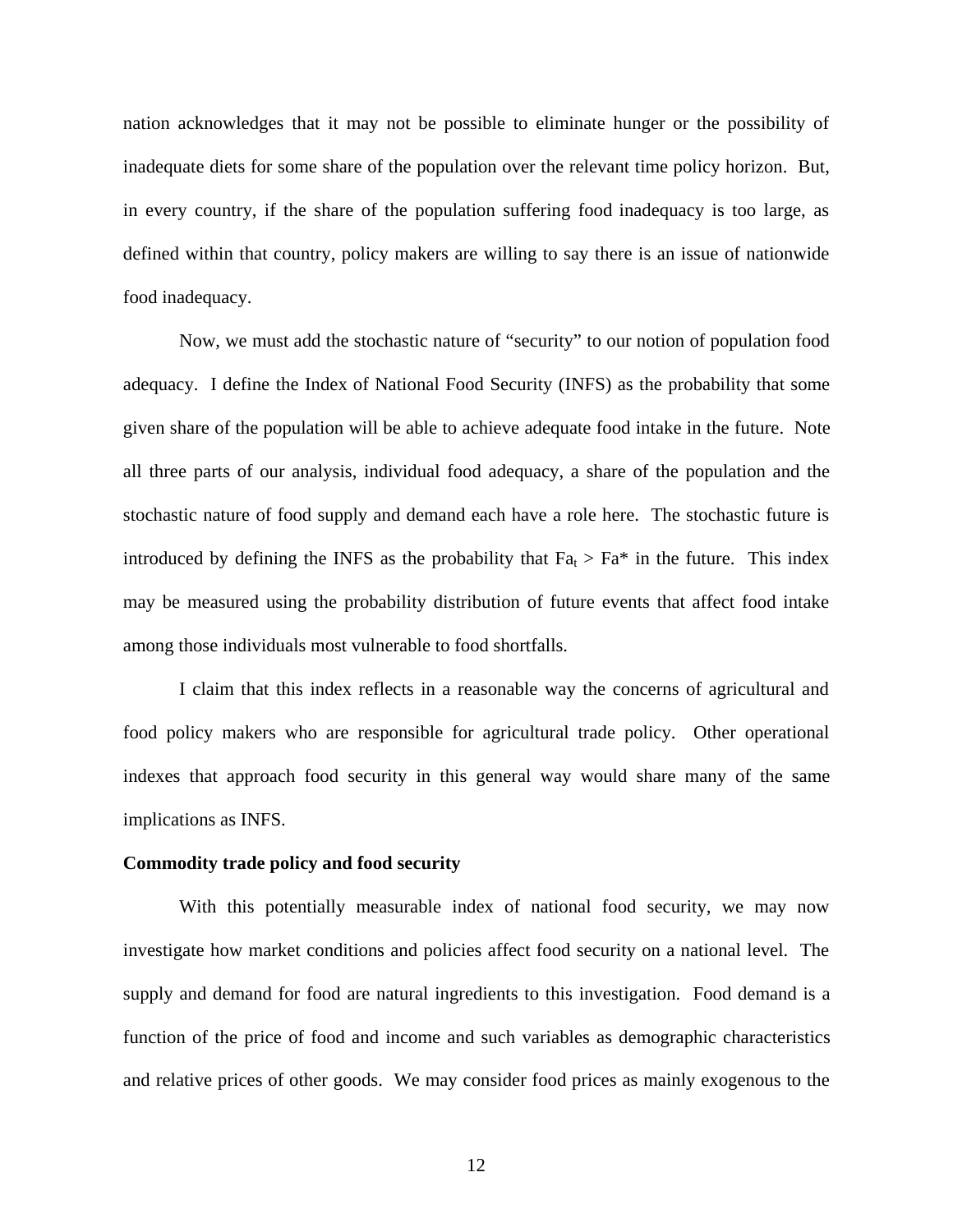nation acknowledges that it may not be possible to eliminate hunger or the possibility of inadequate diets for some share of the population over the relevant time policy horizon. But, in every country, if the share of the population suffering food inadequacy is too large, as defined within that country, policy makers are willing to say there is an issue of nationwide food inadequacy.

Now, we must add the stochastic nature of "security" to our notion of population food adequacy. I define the Index of National Food Security (INFS) as the probability that some given share of the population will be able to achieve adequate food intake in the future. Note all three parts of our analysis, individual food adequacy, a share of the population and the stochastic nature of food supply and demand each have a role here. The stochastic future is introduced by defining the INFS as the probability that  $Fa_t > Fa^*$  in the future. This index may be measured using the probability distribution of future events that affect food intake among those individuals most vulnerable to food shortfalls.

I claim that this index reflects in a reasonable way the concerns of agricultural and food policy makers who are responsible for agricultural trade policy. Other operational indexes that approach food security in this general way would share many of the same implications as INFS.

#### **Commodity trade policy and food security**

With this potentially measurable index of national food security, we may now investigate how market conditions and policies affect food security on a national level. The supply and demand for food are natural ingredients to this investigation. Food demand is a function of the price of food and income and such variables as demographic characteristics and relative prices of other goods. We may consider food prices as mainly exogenous to the

12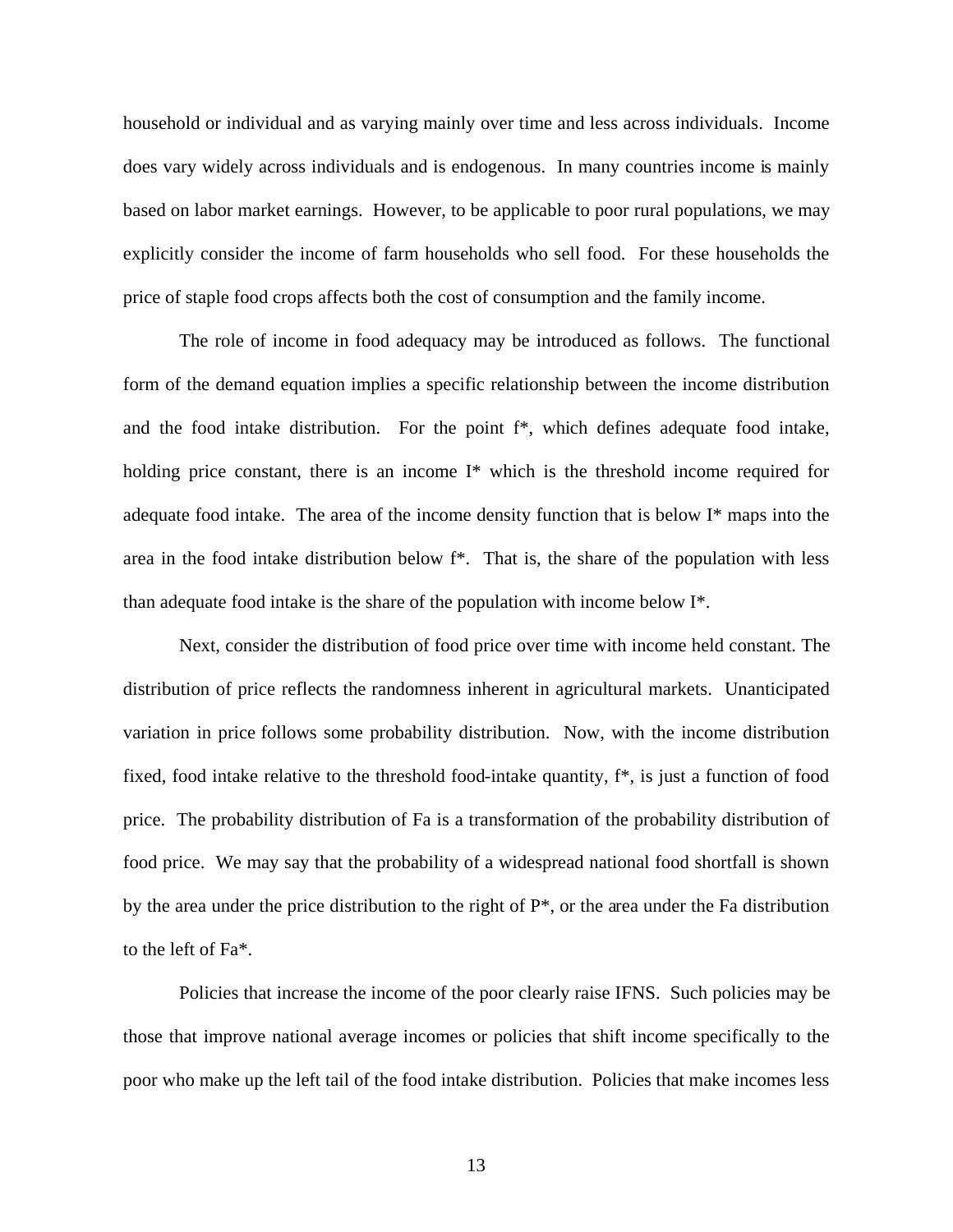household or individual and as varying mainly over time and less across individuals. Income does vary widely across individuals and is endogenous. In many countries income is mainly based on labor market earnings. However, to be applicable to poor rural populations, we may explicitly consider the income of farm households who sell food. For these households the price of staple food crops affects both the cost of consumption and the family income.

The role of income in food adequacy may be introduced as follows. The functional form of the demand equation implies a specific relationship between the income distribution and the food intake distribution. For the point f\*, which defines adequate food intake, holding price constant, there is an income I<sup>\*</sup> which is the threshold income required for adequate food intake. The area of the income density function that is below I\* maps into the area in the food intake distribution below f\*. That is, the share of the population with less than adequate food intake is the share of the population with income below I\*.

Next, consider the distribution of food price over time with income held constant. The distribution of price reflects the randomness inherent in agricultural markets. Unanticipated variation in price follows some probability distribution. Now, with the income distribution fixed, food intake relative to the threshold food-intake quantity, f\*, is just a function of food price. The probability distribution of Fa is a transformation of the probability distribution of food price. We may say that the probability of a widespread national food shortfall is shown by the area under the price distribution to the right of  $P^*$ , or the area under the Fa distribution to the left of Fa\*.

Policies that increase the income of the poor clearly raise IFNS. Such policies may be those that improve national average incomes or policies that shift income specifically to the poor who make up the left tail of the food intake distribution. Policies that make incomes less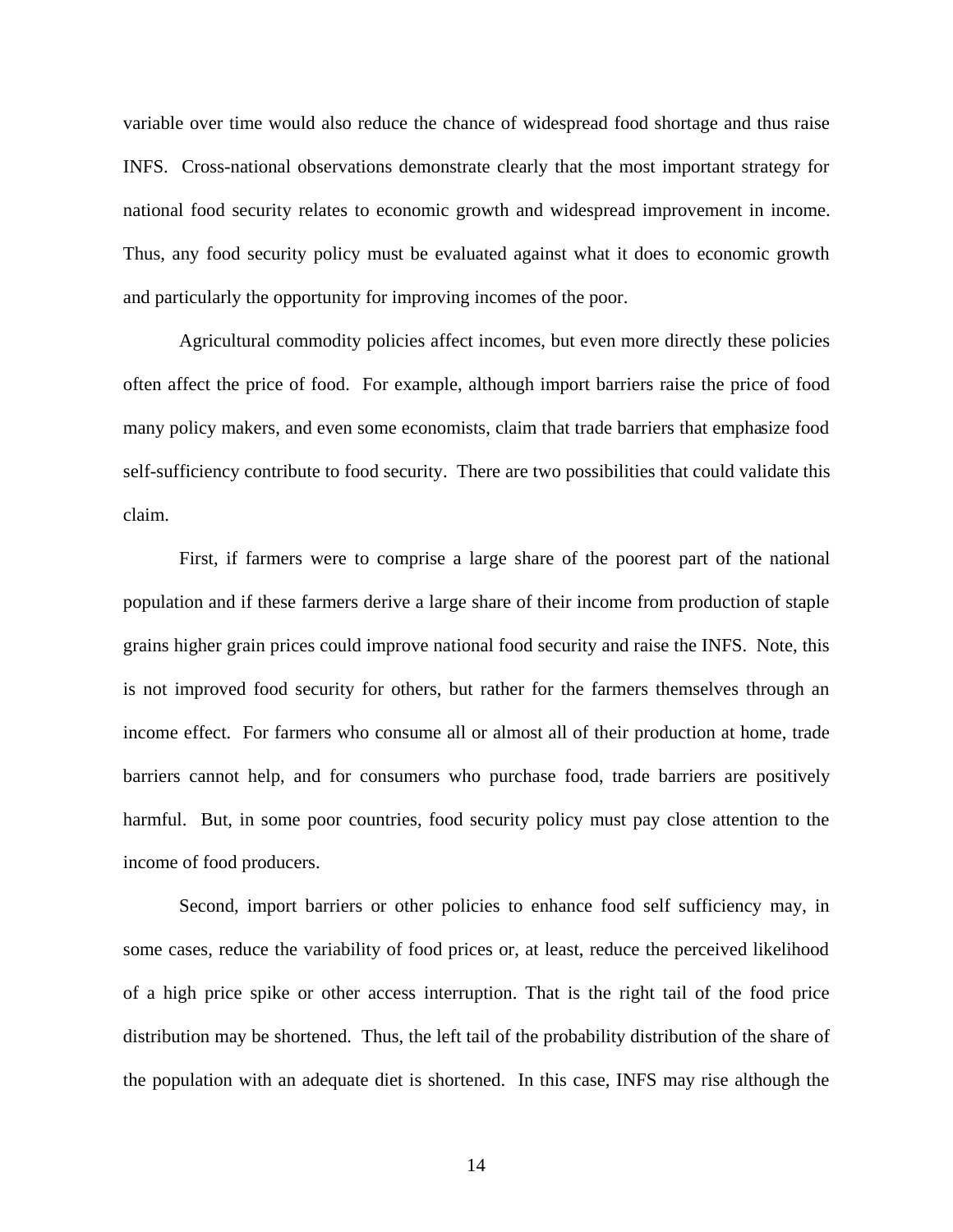variable over time would also reduce the chance of widespread food shortage and thus raise INFS. Cross-national observations demonstrate clearly that the most important strategy for national food security relates to economic growth and widespread improvement in income. Thus, any food security policy must be evaluated against what it does to economic growth and particularly the opportunity for improving incomes of the poor.

Agricultural commodity policies affect incomes, but even more directly these policies often affect the price of food. For example, although import barriers raise the price of food many policy makers, and even some economists, claim that trade barriers that emphasize food self-sufficiency contribute to food security. There are two possibilities that could validate this claim.

First, if farmers were to comprise a large share of the poorest part of the national population and if these farmers derive a large share of their income from production of staple grains higher grain prices could improve national food security and raise the INFS. Note, this is not improved food security for others, but rather for the farmers themselves through an income effect. For farmers who consume all or almost all of their production at home, trade barriers cannot help, and for consumers who purchase food, trade barriers are positively harmful. But, in some poor countries, food security policy must pay close attention to the income of food producers.

Second, import barriers or other policies to enhance food self sufficiency may, in some cases, reduce the variability of food prices or, at least, reduce the perceived likelihood of a high price spike or other access interruption. That is the right tail of the food price distribution may be shortened. Thus, the left tail of the probability distribution of the share of the population with an adequate diet is shortened. In this case, INFS may rise although the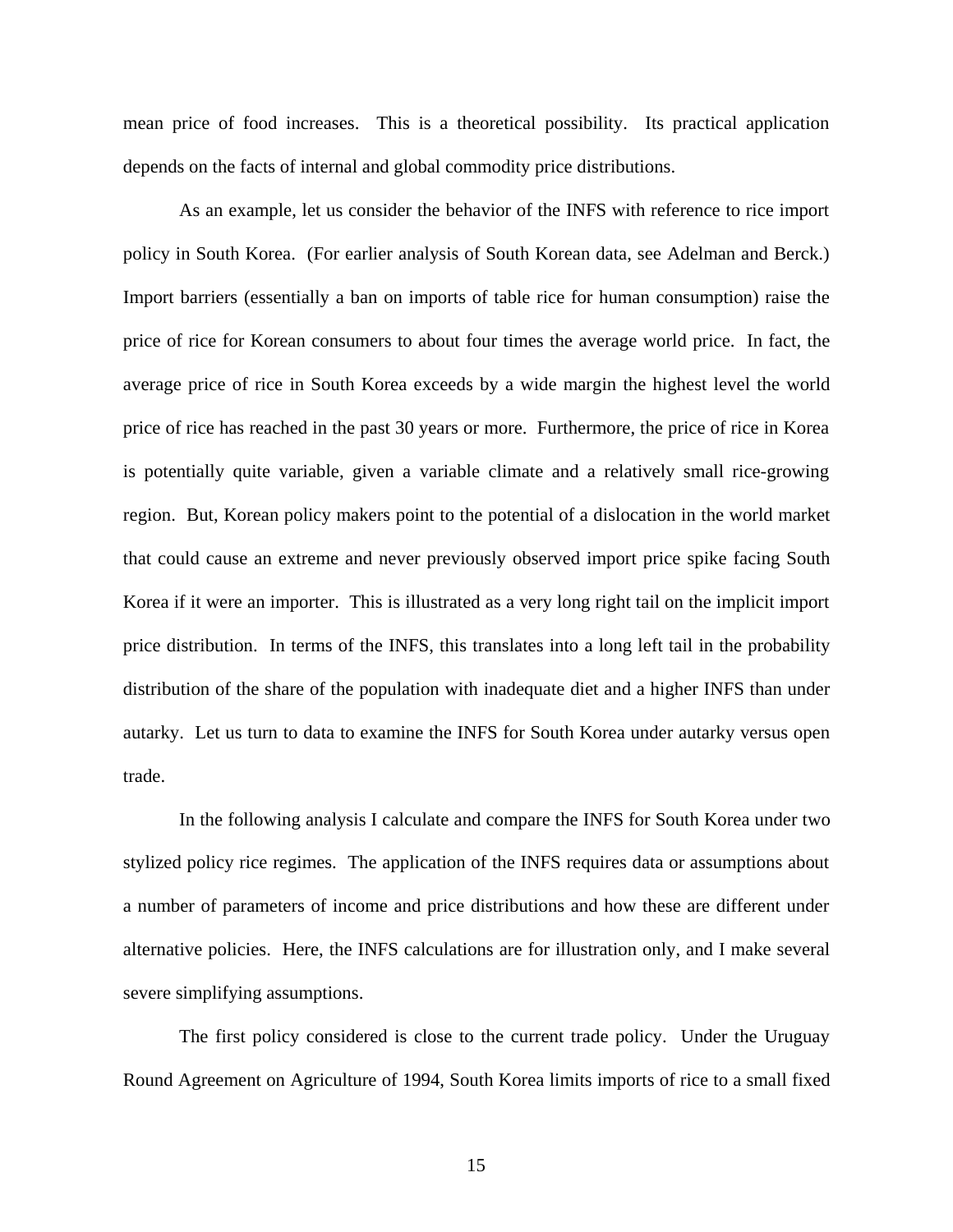mean price of food increases. This is a theoretical possibility. Its practical application depends on the facts of internal and global commodity price distributions.

As an example, let us consider the behavior of the INFS with reference to rice import policy in South Korea. (For earlier analysis of South Korean data, see Adelman and Berck.) Import barriers (essentially a ban on imports of table rice for human consumption) raise the price of rice for Korean consumers to about four times the average world price. In fact, the average price of rice in South Korea exceeds by a wide margin the highest level the world price of rice has reached in the past 30 years or more. Furthermore, the price of rice in Korea is potentially quite variable, given a variable climate and a relatively small rice-growing region. But, Korean policy makers point to the potential of a dislocation in the world market that could cause an extreme and never previously observed import price spike facing South Korea if it were an importer. This is illustrated as a very long right tail on the implicit import price distribution. In terms of the INFS, this translates into a long left tail in the probability distribution of the share of the population with inadequate diet and a higher INFS than under autarky. Let us turn to data to examine the INFS for South Korea under autarky versus open trade.

In the following analysis I calculate and compare the INFS for South Korea under two stylized policy rice regimes. The application of the INFS requires data or assumptions about a number of parameters of income and price distributions and how these are different under alternative policies. Here, the INFS calculations are for illustration only, and I make several severe simplifying assumptions.

The first policy considered is close to the current trade policy. Under the Uruguay Round Agreement on Agriculture of 1994, South Korea limits imports of rice to a small fixed

15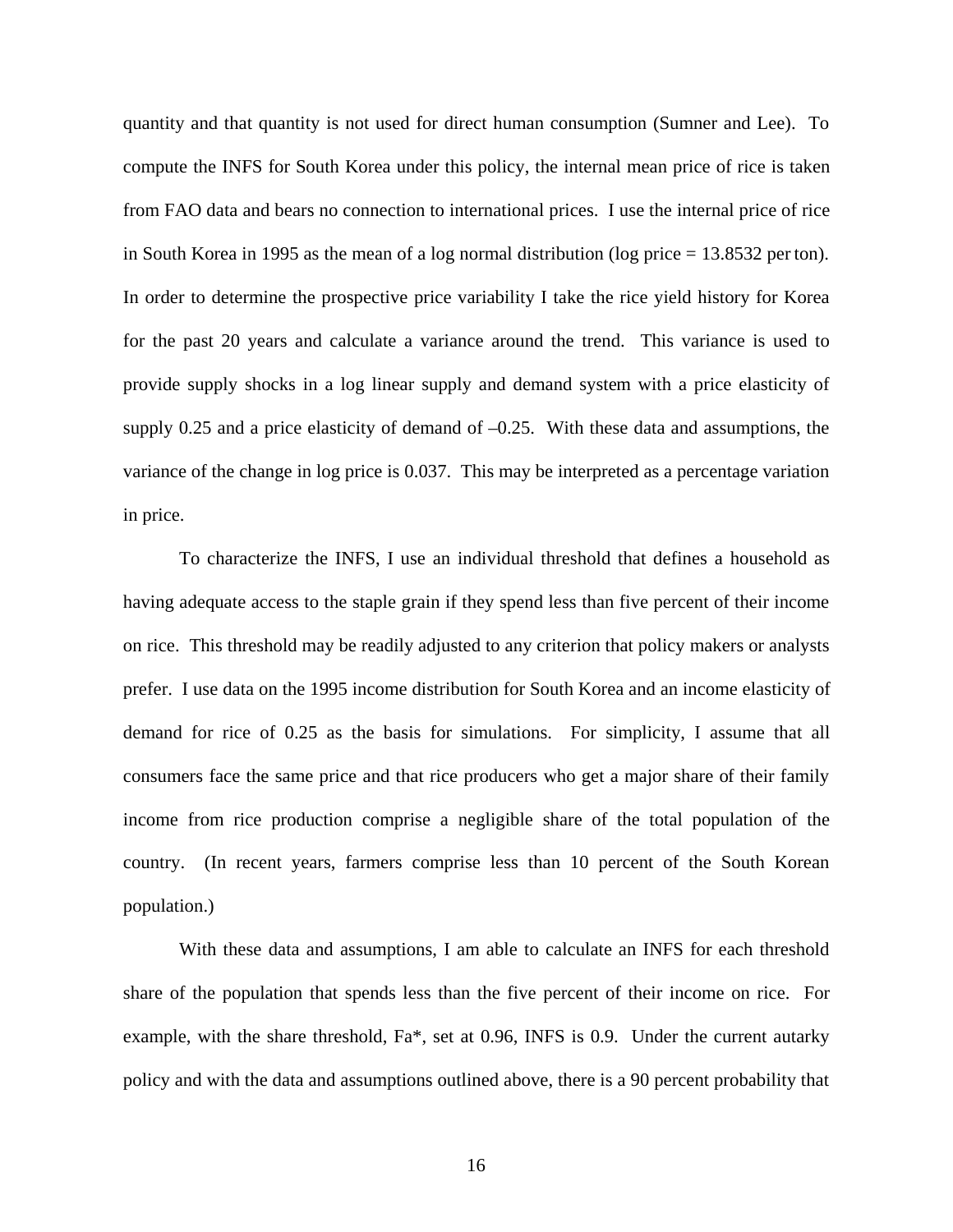quantity and that quantity is not used for direct human consumption (Sumner and Lee). To compute the INFS for South Korea under this policy, the internal mean price of rice is taken from FAO data and bears no connection to international prices. I use the internal price of rice in South Korea in 1995 as the mean of a log normal distribution (log price = 13.8532 per ton). In order to determine the prospective price variability I take the rice yield history for Korea for the past 20 years and calculate a variance around the trend. This variance is used to provide supply shocks in a log linear supply and demand system with a price elasticity of supply 0.25 and a price elasticity of demand of –0.25. With these data and assumptions, the variance of the change in log price is 0.037. This may be interpreted as a percentage variation in price.

To characterize the INFS, I use an individual threshold that defines a household as having adequate access to the staple grain if they spend less than five percent of their income on rice. This threshold may be readily adjusted to any criterion that policy makers or analysts prefer. I use data on the 1995 income distribution for South Korea and an income elasticity of demand for rice of 0.25 as the basis for simulations. For simplicity, I assume that all consumers face the same price and that rice producers who get a major share of their family income from rice production comprise a negligible share of the total population of the country. (In recent years, farmers comprise less than 10 percent of the South Korean population.)

With these data and assumptions, I am able to calculate an INFS for each threshold share of the population that spends less than the five percent of their income on rice. For example, with the share threshold, Fa\*, set at 0.96, INFS is 0.9. Under the current autarky policy and with the data and assumptions outlined above, there is a 90 percent probability that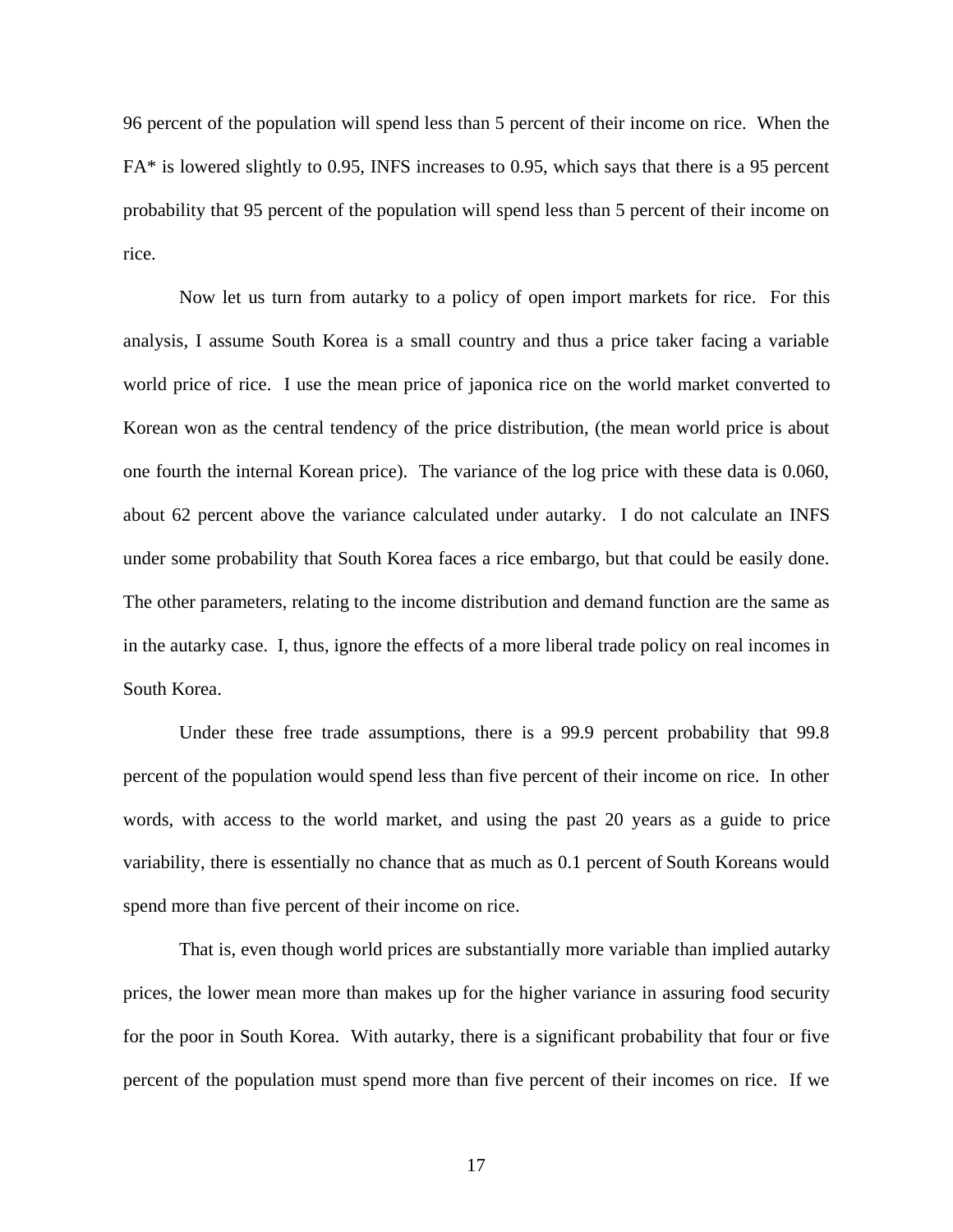96 percent of the population will spend less than 5 percent of their income on rice. When the FA\* is lowered slightly to 0.95, INFS increases to 0.95, which says that there is a 95 percent probability that 95 percent of the population will spend less than 5 percent of their income on rice.

Now let us turn from autarky to a policy of open import markets for rice. For this analysis, I assume South Korea is a small country and thus a price taker facing a variable world price of rice. I use the mean price of japonica rice on the world market converted to Korean won as the central tendency of the price distribution, (the mean world price is about one fourth the internal Korean price). The variance of the log price with these data is 0.060, about 62 percent above the variance calculated under autarky. I do not calculate an INFS under some probability that South Korea faces a rice embargo, but that could be easily done. The other parameters, relating to the income distribution and demand function are the same as in the autarky case. I, thus, ignore the effects of a more liberal trade policy on real incomes in South Korea.

Under these free trade assumptions, there is a 99.9 percent probability that 99.8 percent of the population would spend less than five percent of their income on rice. In other words, with access to the world market, and using the past 20 years as a guide to price variability, there is essentially no chance that as much as 0.1 percent of South Koreans would spend more than five percent of their income on rice.

That is, even though world prices are substantially more variable than implied autarky prices, the lower mean more than makes up for the higher variance in assuring food security for the poor in South Korea. With autarky, there is a significant probability that four or five percent of the population must spend more than five percent of their incomes on rice. If we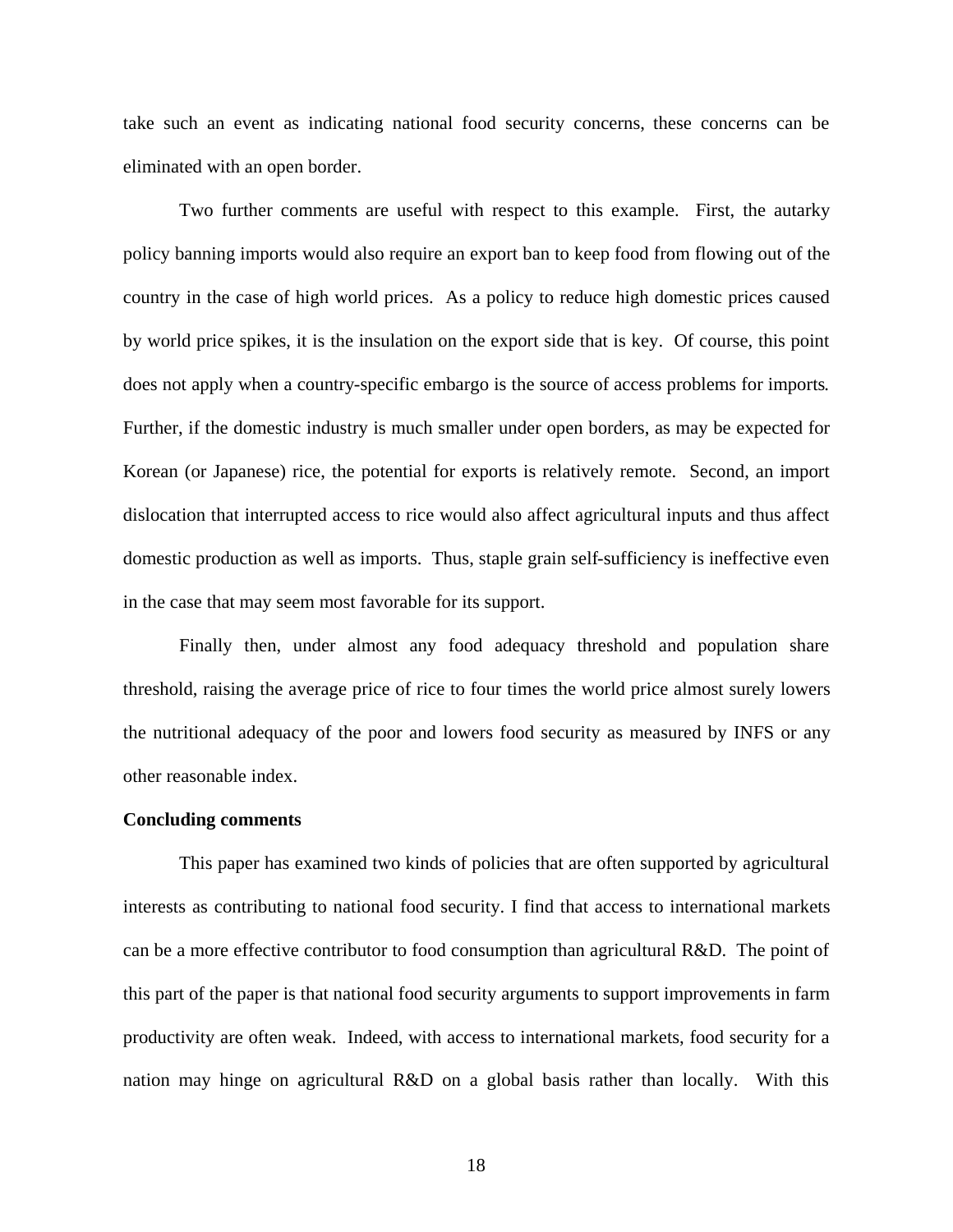take such an event as indicating national food security concerns, these concerns can be eliminated with an open border.

Two further comments are useful with respect to this example. First, the autarky policy banning imports would also require an export ban to keep food from flowing out of the country in the case of high world prices. As a policy to reduce high domestic prices caused by world price spikes, it is the insulation on the export side that is key. Of course, this point does not apply when a country-specific embargo is the source of access problems for imports. Further, if the domestic industry is much smaller under open borders, as may be expected for Korean (or Japanese) rice, the potential for exports is relatively remote. Second, an import dislocation that interrupted access to rice would also affect agricultural inputs and thus affect domestic production as well as imports. Thus, staple grain self-sufficiency is ineffective even in the case that may seem most favorable for its support.

Finally then, under almost any food adequacy threshold and population share threshold, raising the average price of rice to four times the world price almost surely lowers the nutritional adequacy of the poor and lowers food security as measured by INFS or any other reasonable index.

## **Concluding comments**

This paper has examined two kinds of policies that are often supported by agricultural interests as contributing to national food security. I find that access to international markets can be a more effective contributor to food consumption than agricultural R&D. The point of this part of the paper is that national food security arguments to support improvements in farm productivity are often weak. Indeed, with access to international markets, food security for a nation may hinge on agricultural R&D on a global basis rather than locally. With this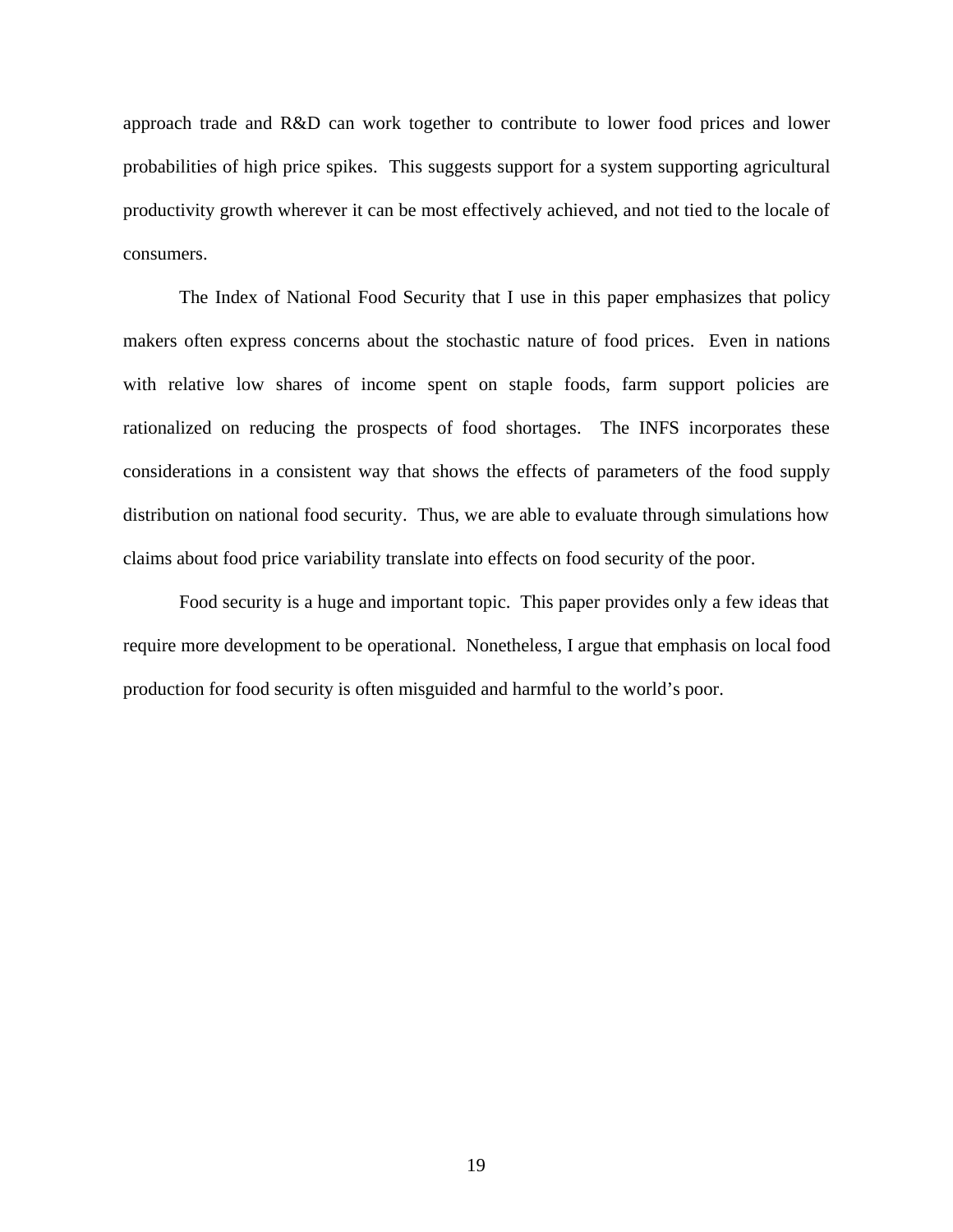approach trade and R&D can work together to contribute to lower food prices and lower probabilities of high price spikes. This suggests support for a system supporting agricultural productivity growth wherever it can be most effectively achieved, and not tied to the locale of consumers.

The Index of National Food Security that I use in this paper emphasizes that policy makers often express concerns about the stochastic nature of food prices. Even in nations with relative low shares of income spent on staple foods, farm support policies are rationalized on reducing the prospects of food shortages. The INFS incorporates these considerations in a consistent way that shows the effects of parameters of the food supply distribution on national food security. Thus, we are able to evaluate through simulations how claims about food price variability translate into effects on food security of the poor.

Food security is a huge and important topic. This paper provides only a few ideas that require more development to be operational. Nonetheless, I argue that emphasis on local food production for food security is often misguided and harmful to the world's poor.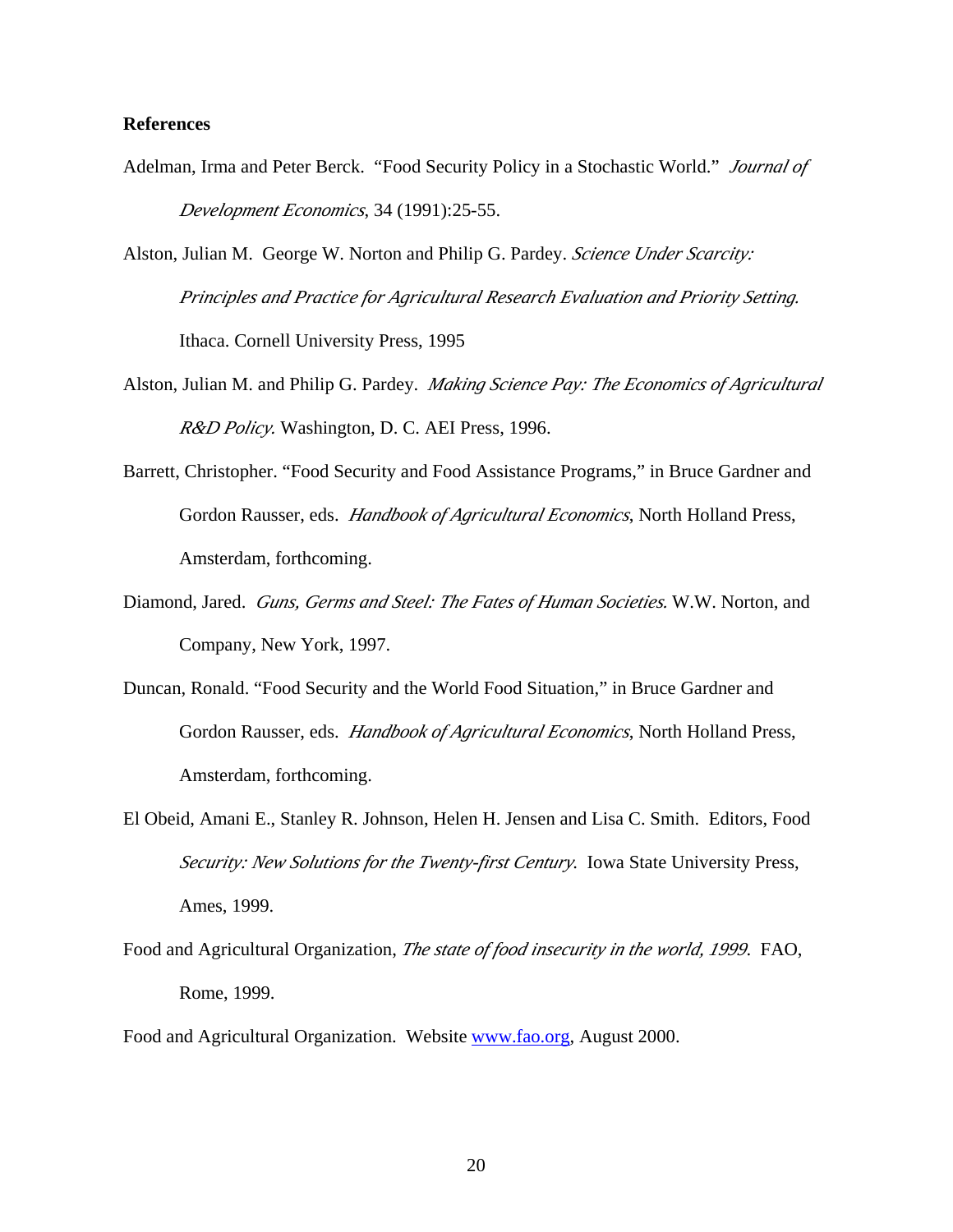## **References**

- Adelman, Irma and Peter Berck. "Food Security Policy in a Stochastic World." *Journal of Development Economics*, 34 (1991):25-55.
- Alston, Julian M. George W. Norton and Philip G. Pardey. *Science Under Scarcity: Principles and Practice for Agricultural Research Evaluation and Priority Setting.*  Ithaca. Cornell University Press, 1995
- Alston, Julian M. and Philip G. Pardey. *Making Science Pay: The Economics of Agricultural R&D Policy.* Washington, D. C. AEI Press, 1996.
- Barrett, Christopher. "Food Security and Food Assistance Programs," in Bruce Gardner and Gordon Rausser, eds. *Handbook of Agricultural Economics*, North Holland Press, Amsterdam, forthcoming.
- Diamond, Jared. *Guns, Germs and Steel: The Fates of Human Societies.* W.W. Norton, and Company, New York, 1997.
- Duncan, Ronald. "Food Security and the World Food Situation," in Bruce Gardner and Gordon Rausser, eds. *Handbook of Agricultural Economics*, North Holland Press, Amsterdam, forthcoming.
- El Obeid, Amani E., Stanley R. Johnson, Helen H. Jensen and Lisa C. Smith. Editors, Food *Security: New Solutions for the Twenty-first Century*. Iowa State University Press, Ames, 1999.
- Food and Agricultural Organization, *The state of food insecurity in the world, 1999*. FAO, Rome, 1999.
- Food and Agricultural Organization. Website www.fao.org, August 2000.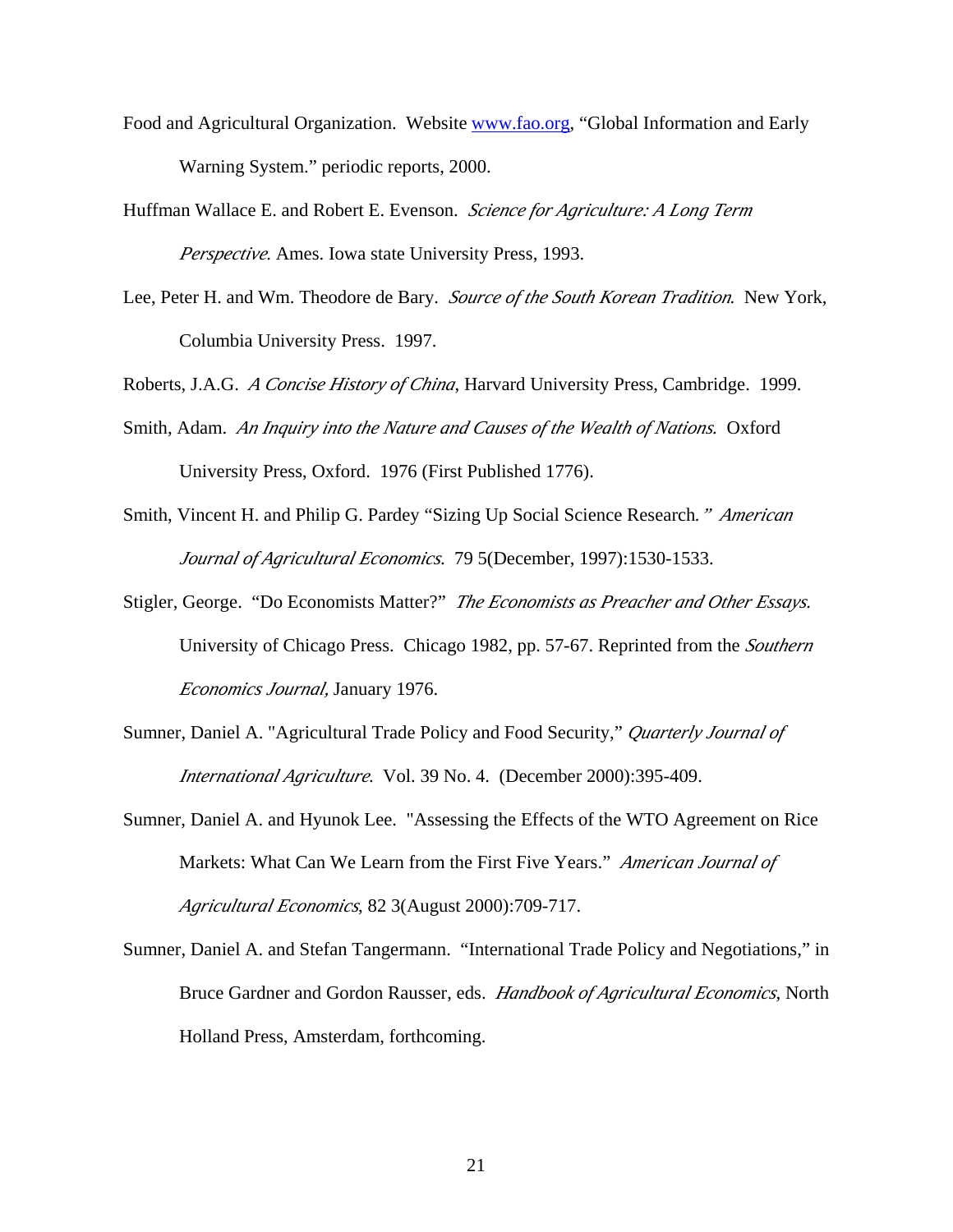- Food and Agricultural Organization. Website www.fao.org, "Global Information and Early Warning System." periodic reports, 2000.
- Huffman Wallace E. and Robert E. Evenson. *Science for Agriculture: A Long Term Perspective*. Ames. Iowa state University Press, 1993.
- Lee, Peter H. and Wm. Theodore de Bary. *Source of the South Korean Tradition*. New York, Columbia University Press. 1997.

Roberts, J.A.G. *A Concise History of China*, Harvard University Press, Cambridge. 1999.

- Smith, Adam. *An Inquiry into the Nature and Causes of the Wealth of Nations.* Oxford University Press, Oxford. 1976 (First Published 1776).
- Smith, Vincent H. and Philip G. Pardey "Sizing Up Social Science Research*." American Journal of Agricultural Economics*. 79 5(December, 1997):1530-1533.
- Stigler, George. "Do Economists Matter?" *The Economists as Preacher and Other Essays.* University of Chicago Press. Chicago 1982, pp. 57-67. Reprinted from the *Southern Economics Journal,* January 1976.
- Sumner, Daniel A. "Agricultural Trade Policy and Food Security," *Quarterly Journal of International Agriculture*. Vol. 39 No. 4. (December 2000):395-409.
- Sumner, Daniel A. and Hyunok Lee. "Assessing the Effects of the WTO Agreement on Rice Markets: What Can We Learn from the First Five Years." *American Journal of Agricultural Economics*, 82 3(August 2000):709-717.
- Sumner, Daniel A. and Stefan Tangermann. "International Trade Policy and Negotiations," in Bruce Gardner and Gordon Rausser, eds. *Handbook of Agricultural Economics*, North Holland Press, Amsterdam, forthcoming.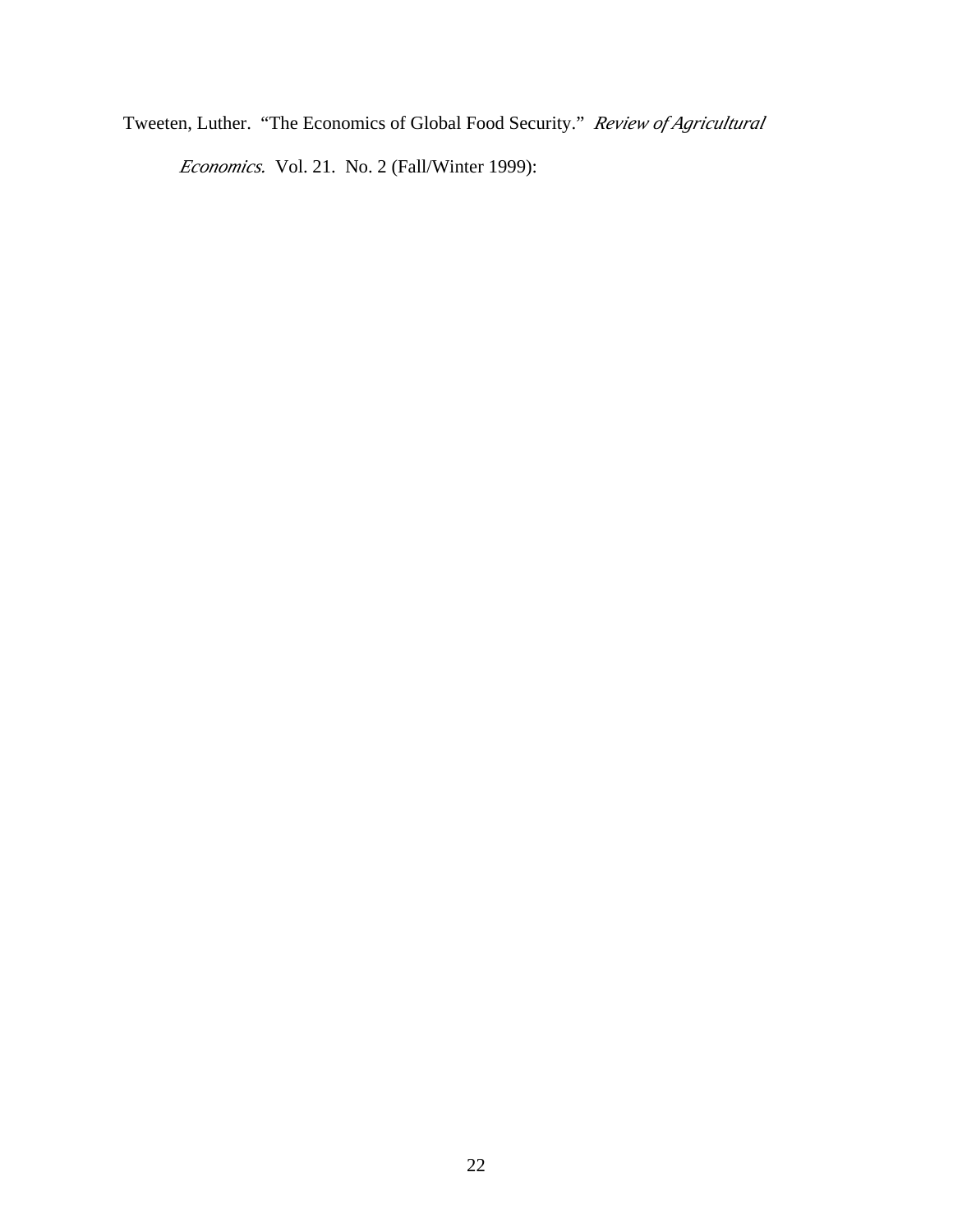Tweeten, Luther. "The Economics of Global Food Security." *Review of Agricultural* 

*Economics.* Vol. 21. No. 2 (Fall/Winter 1999):